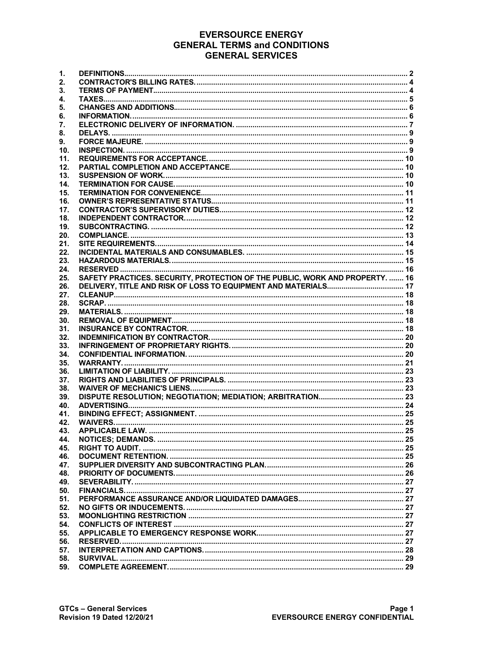# **EVERSOURCE ENERGY GENERAL TERMS and CONDITIONS GENERAL SERVICES**

| 1.         |                                                                              |  |
|------------|------------------------------------------------------------------------------|--|
| 2.         |                                                                              |  |
| 3.         |                                                                              |  |
| 4.         |                                                                              |  |
| 5.         |                                                                              |  |
| 6.         |                                                                              |  |
| 7.         |                                                                              |  |
| 8.         |                                                                              |  |
| 9.         |                                                                              |  |
| 10.        |                                                                              |  |
| 11.        |                                                                              |  |
|            |                                                                              |  |
| 12.        |                                                                              |  |
| 13.        |                                                                              |  |
| 14.        |                                                                              |  |
| 15.        |                                                                              |  |
| 16.        |                                                                              |  |
| 17.        |                                                                              |  |
| 18.        |                                                                              |  |
| 19.        |                                                                              |  |
| 20.        |                                                                              |  |
| 21.        |                                                                              |  |
| 22.        |                                                                              |  |
| 23.        |                                                                              |  |
| 24.        |                                                                              |  |
| 25.        | SAFETY PRACTICES, SECURITY, PROTECTION OF THE PUBLIC, WORK AND PROPERTY,  16 |  |
| 26.        |                                                                              |  |
| 27.        |                                                                              |  |
| 28.        |                                                                              |  |
| 29.        |                                                                              |  |
| 30.        |                                                                              |  |
| 31.        |                                                                              |  |
| 32.        |                                                                              |  |
| 33.        |                                                                              |  |
| 34.        |                                                                              |  |
| 35.        |                                                                              |  |
|            |                                                                              |  |
| 36.        |                                                                              |  |
| 37.        |                                                                              |  |
| 38.        |                                                                              |  |
| 39.        |                                                                              |  |
| 40.        |                                                                              |  |
| 41.        |                                                                              |  |
| 42.        |                                                                              |  |
| 43.        |                                                                              |  |
| 44.        |                                                                              |  |
| 45.        |                                                                              |  |
| 46.        |                                                                              |  |
| 47.        |                                                                              |  |
| 48.        |                                                                              |  |
|            |                                                                              |  |
| 49.        |                                                                              |  |
| 50.        |                                                                              |  |
| 51.        |                                                                              |  |
| 52.        |                                                                              |  |
| 53.        |                                                                              |  |
| 54.        |                                                                              |  |
|            |                                                                              |  |
| 55.        |                                                                              |  |
| 56.        |                                                                              |  |
| 57.<br>58. |                                                                              |  |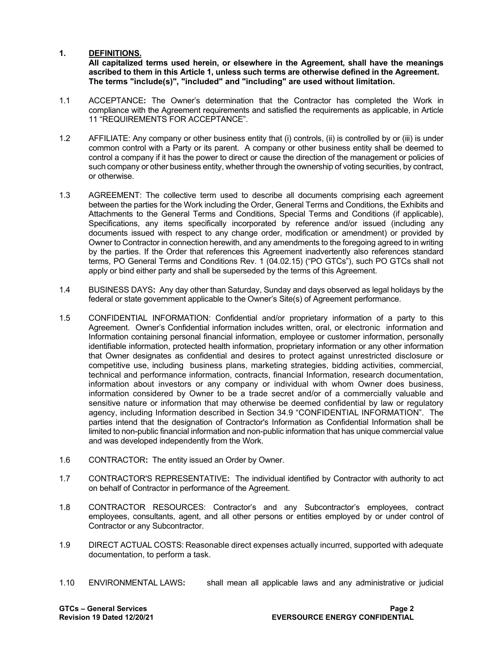#### <span id="page-1-0"></span>**1. DEFINITIONS.**

**All capitalized terms used herein, or elsewhere in the Agreement, shall have the meanings ascribed to them in this Article 1, unless such terms are otherwise defined in the Agreement. The terms "include(s)", "included" and "including" are used without limitation.**

- 1.1 ACCEPTANCE**:** The Owner's determination that the Contractor has completed the Work in compliance with the Agreement requirements and satisfied the requirements as applicable, in Article 11 "REQUIREMENTS FOR ACCEPTANCE".
- 1.2 AFFILIATE: Any company or other business entity that (i) controls, (ii) is controlled by or (iii) is under common control with a Party or its parent. A company or other business entity shall be deemed to control a company if it has the power to direct or cause the direction of the management or policies of such company or other business entity, whether through the ownership of voting securities, by contract, or otherwise.
- 1.3 AGREEMENT: The collective term used to describe all documents comprising each agreement between the parties for the Work including the Order, General Terms and Conditions, the Exhibits and Attachments to the General Terms and Conditions, Special Terms and Conditions (if applicable), Specifications, any items specifically incorporated by reference and/or issued (including any documents issued with respect to any change order, modification or amendment) or provided by Owner to Contractor in connection herewith, and any amendments to the foregoing agreed to in writing by the parties. If the Order that references this Agreement inadvertently also references standard terms, PO General Terms and Conditions Rev. 1 (04.02.15) ("PO GTCs"), such PO GTCs shall not apply or bind either party and shall be superseded by the terms of this Agreement.
- 1.4 BUSINESS DAYS**:** Any day other than Saturday, Sunday and days observed as legal holidays by the federal or state government applicable to the Owner's Site(s) of Agreement performance.
- 1.5 CONFIDENTIAL INFORMATION: Confidential and/or proprietary information of a party to this Agreement. Owner's Confidential information includes written, oral, or electronic information and Information containing personal financial information, employee or customer information, personally identifiable information, protected health information, proprietary information or any other information that Owner designates as confidential and desires to protect against unrestricted disclosure or competitive use, including business plans, marketing strategies, bidding activities, commercial, technical and performance information, contracts, financial Information, research documentation, information about investors or any company or individual with whom Owner does business, information considered by Owner to be a trade secret and/or of a commercially valuable and sensitive nature or information that may otherwise be deemed confidential by law or regulatory agency, including Information described in Section 34.9 "CONFIDENTIAL INFORMATION". The parties intend that the designation of Contractor's Information as Confidential Information shall be limited to non-public financial information and non-public information that has unique commercial value and was developed independently from the Work.
- 1.6 CONTRACTOR**:** The entity issued an Order by Owner.
- 1.7 CONTRACTOR'S REPRESENTATIVE**:** The individual identified by Contractor with authority to act on behalf of Contractor in performance of the Agreement.
- 1.8 CONTRACTOR RESOURCES: Contractor's and any Subcontractor's employees, contract employees, consultants, agent, and all other persons or entities employed by or under control of Contractor or any Subcontractor.
- 1.9 DIRECT ACTUAL COSTS: Reasonable direct expenses actually incurred, supported with adequate documentation, to perform a task.
- 1.10 ENVIRONMENTAL LAWS**:** shall mean all applicable laws and any administrative or judicial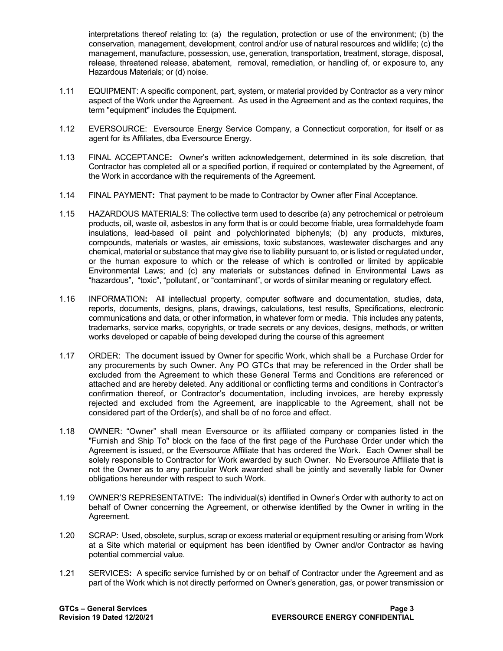interpretations thereof relating to: (a) the regulation, protection or use of the environment; (b) the conservation, management, development, control and/or use of natural resources and wildlife; (c) the management, manufacture, possession, use, generation, transportation, treatment, storage, disposal, release, threatened release, abatement, removal, remediation, or handling of, or exposure to, any Hazardous Materials; or (d) noise.

- 1.11 EQUIPMENT: A specific component, part, system, or material provided by Contractor as a very minor aspect of the Work under the Agreement. As used in the Agreement and as the context requires, the term "equipment" includes the Equipment.
- 1.12 EVERSOURCE: Eversource Energy Service Company, a Connecticut corporation, for itself or as agent for its Affiliates, dba Eversource Energy.
- 1.13 FINAL ACCEPTANCE**:** Owner's written acknowledgement, determined in its sole discretion, that Contractor has completed all or a specified portion, if required or contemplated by the Agreement, of the Work in accordance with the requirements of the Agreement.
- 1.14 FINAL PAYMENT**:** That payment to be made to Contractor by Owner after Final Acceptance.
- 1.15 HAZARDOUS MATERIALS: The collective term used to describe (a) any petrochemical or petroleum products, oil, waste oil, asbestos in any form that is or could become friable, urea formaldehyde foam insulations, lead-based oil paint and polychlorinated biphenyls; (b) any products, mixtures, compounds, materials or wastes, air emissions, toxic substances, wastewater discharges and any chemical, material or substance that may give rise to liability pursuant to, or is listed or regulated under, or the human exposure to which or the release of which is controlled or limited by applicable Environmental Laws; and (c) any materials or substances defined in Environmental Laws as "hazardous", "toxic", "pollutant', or "contaminant", or words of similar meaning or regulatory effect.
- 1.16 INFORMATION**:** All intellectual property, computer software and documentation, studies, data, reports, documents, designs, plans, drawings, calculations, test results, Specifications, electronic communications and data, or other information, in whatever form or media. This includes any patents, trademarks, service marks, copyrights, or trade secrets or any devices, designs, methods, or written works developed or capable of being developed during the course of this agreement
- 1.17 ORDER: The document issued by Owner for specific Work, which shall be a Purchase Order for any procurements by such Owner. Any PO GTCs that may be referenced in the Order shall be excluded from the Agreement to which these General Terms and Conditions are referenced or attached and are hereby deleted. Any additional or conflicting terms and conditions in Contractor's confirmation thereof, or Contractor's documentation, including invoices, are hereby expressly rejected and excluded from the Agreement, are inapplicable to the Agreement, shall not be considered part of the Order(s), and shall be of no force and effect.
- 1.18 OWNER: "Owner" shall mean Eversource or its affiliated company or companies listed in the "Furnish and Ship To" block on the face of the first page of the Purchase Order under which the Agreement is issued, or the Eversource Affiliate that has ordered the Work. Each Owner shall be solely responsible to Contractor for Work awarded by such Owner. No Eversource Affiliate that is not the Owner as to any particular Work awarded shall be jointly and severally liable for Owner obligations hereunder with respect to such Work.
- 1.19 OWNER'S REPRESENTATIVE**:** The individual(s) identified in Owner's Order with authority to act on behalf of Owner concerning the Agreement, or otherwise identified by the Owner in writing in the Agreement.
- 1.20 SCRAP: Used, obsolete, surplus, scrap or excess material or equipment resulting or arising from Work at a Site which material or equipment has been identified by Owner and/or Contractor as having potential commercial value.
- 1.21 SERVICES**:** A specific service furnished by or on behalf of Contractor under the Agreement and as part of the Work which is not directly performed on Owner's generation, gas, or power transmission or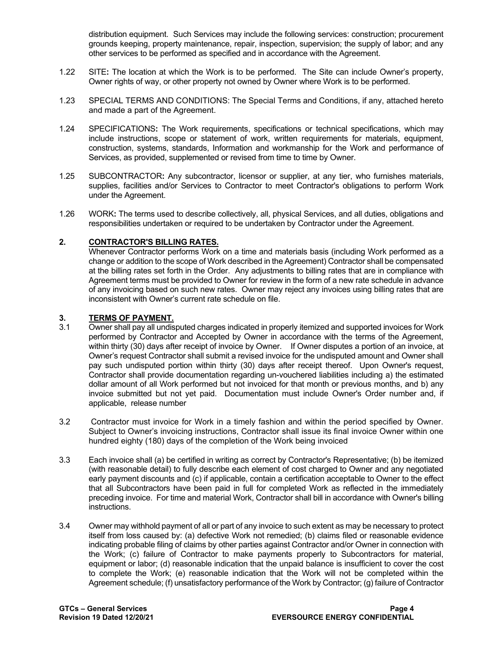distribution equipment. Such Services may include the following services: construction; procurement grounds keeping, property maintenance, repair, inspection, supervision; the supply of labor; and any other services to be performed as specified and in accordance with the Agreement.

- 1.22 SITE**:** The location at which the Work is to be performed. The Site can include Owner's property, Owner rights of way, or other property not owned by Owner where Work is to be performed.
- 1.23 SPECIAL TERMS AND CONDITIONS: The Special Terms and Conditions, if any, attached hereto and made a part of the Agreement.
- 1.24 SPECIFICATIONS**:** The Work requirements, specifications or technical specifications, which may include instructions, scope or statement of work, written requirements for materials, equipment, construction, systems, standards, Information and workmanship for the Work and performance of Services, as provided, supplemented or revised from time to time by Owner.
- 1.25 SUBCONTRACTOR**:** Any subcontractor, licensor or supplier, at any tier, who furnishes materials, supplies, facilities and/or Services to Contractor to meet Contractor's obligations to perform Work under the Agreement.
- 1.26 WORK**:** The terms used to describe collectively, all, physical Services, and all duties, obligations and responsibilities undertaken or required to be undertaken by Contractor under the Agreement.

#### <span id="page-3-0"></span>**2. CONTRACTOR'S BILLING RATES.**

Whenever Contractor performs Work on a time and materials basis (including Work performed as a change or addition to the scope of Work described in the Agreement) Contractor shall be compensated at the billing rates set forth in the Order. Any adjustments to billing rates that are in compliance with Agreement terms must be provided to Owner for review in the form of a new rate schedule in advance of any invoicing based on such new rates. Owner may reject any invoices using billing rates that are inconsistent with Owner's current rate schedule on file.

#### <span id="page-3-1"></span>**3. TERMS OF PAYMENT.**

- 3.1 Owner shall pay all undisputed charges indicated in properly itemized and supported invoices for Work performed by Contractor and Accepted by Owner in accordance with the terms of the Agreement, within thirty (30) days after receipt of invoice by Owner. If Owner disputes a portion of an invoice, at Owner's request Contractor shall submit a revised invoice for the undisputed amount and Owner shall pay such undisputed portion within thirty (30) days after receipt thereof. Upon Owner's request, Contractor shall provide documentation regarding un-vouchered liabilities including a) the estimated dollar amount of all Work performed but not invoiced for that month or previous months, and b) any invoice submitted but not yet paid. Documentation must include Owner's Order number and, if applicable, release number
- 3.2 Contractor must invoice for Work in a timely fashion and within the period specified by Owner. Subject to Owner's invoicing instructions, Contractor shall issue its final invoice Owner within one hundred eighty (180) days of the completion of the Work being invoiced
- 3.3 Each invoice shall (a) be certified in writing as correct by Contractor's Representative; (b) be itemized (with reasonable detail) to fully describe each element of cost charged to Owner and any negotiated early payment discounts and (c) if applicable, contain a certification acceptable to Owner to the effect that all Subcontractors have been paid in full for completed Work as reflected in the immediately preceding invoice. For time and material Work, Contractor shall bill in accordance with Owner's billing instructions.
- 3.4 Owner may withhold payment of all or part of any invoice to such extent as may be necessary to protect itself from loss caused by: (a) defective Work not remedied; (b) claims filed or reasonable evidence indicating probable filing of claims by other parties against Contractor and/or Owner in connection with the Work; (c) failure of Contractor to make payments properly to Subcontractors for material, equipment or labor; (d) reasonable indication that the unpaid balance is insufficient to cover the cost to complete the Work; (e) reasonable indication that the Work will not be completed within the Agreement schedule; (f) unsatisfactory performance of the Work by Contractor; (g) failure of Contractor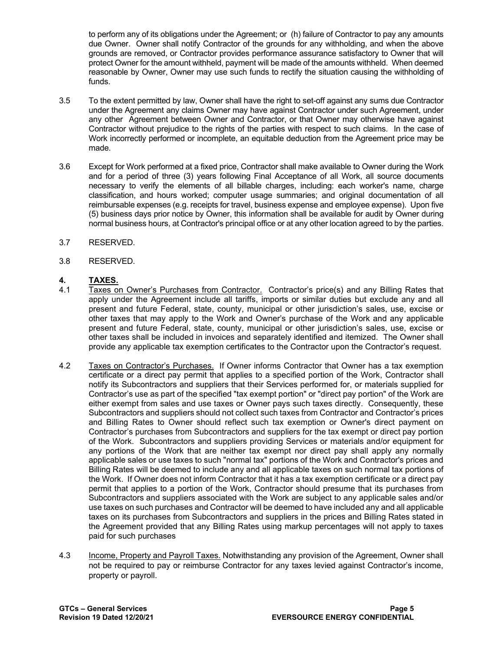to perform any of its obligations under the Agreement; or (h) failure of Contractor to pay any amounts due Owner. Owner shall notify Contractor of the grounds for any withholding, and when the above grounds are removed, or Contractor provides performance assurance satisfactory to Owner that will protect Owner for the amount withheld, payment will be made of the amounts withheld. When deemed reasonable by Owner, Owner may use such funds to rectify the situation causing the withholding of funds.

- 3.5 To the extent permitted by law, Owner shall have the right to set-off against any sums due Contractor under the Agreement any claims Owner may have against Contractor under such Agreement, under any other Agreement between Owner and Contractor, or that Owner may otherwise have against Contractor without prejudice to the rights of the parties with respect to such claims. In the case of Work incorrectly performed or incomplete, an equitable deduction from the Agreement price may be made.
- 3.6 Except for Work performed at a fixed price, Contractor shall make available to Owner during the Work and for a period of three (3) years following Final Acceptance of all Work, all source documents necessary to verify the elements of all billable charges, including: each worker's name, charge classification, and hours worked; computer usage summaries; and original documentation of all reimbursable expenses (e.g. receipts for travel, business expense and employee expense). Upon five (5) business days prior notice by Owner, this information shall be available for audit by Owner during normal business hours, at Contractor's principal office or at any other location agreed to by the parties.
- 3.7 RESERVED.
- 3.8 RESERVED.

# <span id="page-4-0"></span>**4. TAXES.**

- Taxes on Owner's Purchases from Contractor. Contractor's price(s) and any Billing Rates that apply under the Agreement include all tariffs, imports or similar duties but exclude any and all present and future Federal, state, county, municipal or other jurisdiction's sales, use, excise or other taxes that may apply to the Work and Owner's purchase of the Work and any applicable present and future Federal, state, county, municipal or other jurisdiction's sales, use, excise or other taxes shall be included in invoices and separately identified and itemized. The Owner shall provide any applicable tax exemption certificates to the Contractor upon the Contractor's request.
- 4.2 Taxes on Contractor's Purchases. If Owner informs Contractor that Owner has a tax exemption certificate or a direct pay permit that applies to a specified portion of the Work, Contractor shall notify its Subcontractors and suppliers that their Services performed for, or materials supplied for Contractor's use as part of the specified "tax exempt portion" or "direct pay portion" of the Work are either exempt from sales and use taxes or Owner pays such taxes directly. Consequently, these Subcontractors and suppliers should not collect such taxes from Contractor and Contractor's prices and Billing Rates to Owner should reflect such tax exemption or Owner's direct payment on Contractor's purchases from Subcontractors and suppliers for the tax exempt or direct pay portion of the Work. Subcontractors and suppliers providing Services or materials and/or equipment for any portions of the Work that are neither tax exempt nor direct pay shall apply any normally applicable sales or use taxes to such "normal tax" portions of the Work and Contractor's prices and Billing Rates will be deemed to include any and all applicable taxes on such normal tax portions of the Work. If Owner does not inform Contractor that it has a tax exemption certificate or a direct pay permit that applies to a portion of the Work, Contractor should presume that its purchases from Subcontractors and suppliers associated with the Work are subject to any applicable sales and/or use taxes on such purchases and Contractor will be deemed to have included any and all applicable taxes on its purchases from Subcontractors and suppliers in the prices and Billing Rates stated in the Agreement provided that any Billing Rates using markup percentages will not apply to taxes paid for such purchases
- 4.3 Income, Property and Payroll Taxes. Notwithstanding any provision of the Agreement, Owner shall not be required to pay or reimburse Contractor for any taxes levied against Contractor's income, property or payroll.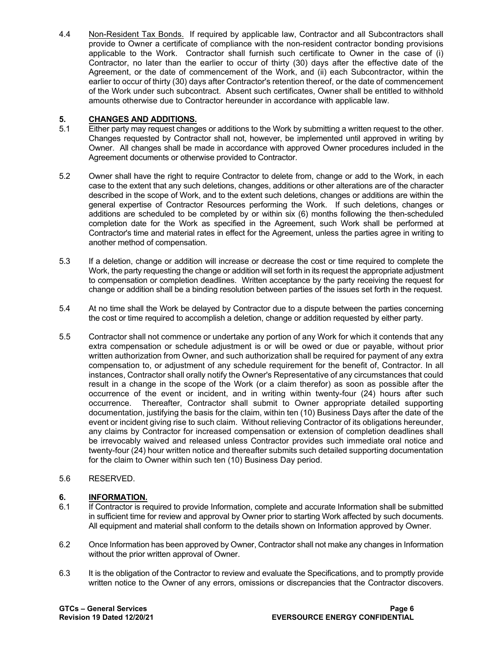4.4 Non-Resident Tax Bonds. If required by applicable law, Contractor and all Subcontractors shall provide to Owner a certificate of compliance with the non-resident contractor bonding provisions applicable to the Work. Contractor shall furnish such certificate to Owner in the case of (i) Contractor, no later than the earlier to occur of thirty (30) days after the effective date of the Agreement, or the date of commencement of the Work, and (ii) each Subcontractor, within the earlier to occur of thirty (30) days after Contractor's retention thereof, or the date of commencement of the Work under such subcontract. Absent such certificates, Owner shall be entitled to withhold amounts otherwise due to Contractor hereunder in accordance with applicable law.

## <span id="page-5-0"></span>**5. CHANGES AND ADDITIONS.**

- 5.1 Either party may request changes or additions to the Work by submitting a written request to the other. Changes requested by Contractor shall not, however, be implemented until approved in writing by Owner. All changes shall be made in accordance with approved Owner procedures included in the Agreement documents or otherwise provided to Contractor.
- 5.2 Owner shall have the right to require Contractor to delete from, change or add to the Work, in each case to the extent that any such deletions, changes, additions or other alterations are of the character described in the scope of Work, and to the extent such deletions, changes or additions are within the general expertise of Contractor Resources performing the Work. If such deletions, changes or additions are scheduled to be completed by or within six (6) months following the then-scheduled completion date for the Work as specified in the Agreement, such Work shall be performed at Contractor's time and material rates in effect for the Agreement, unless the parties agree in writing to another method of compensation.
- 5.3 If a deletion, change or addition will increase or decrease the cost or time required to complete the Work, the party requesting the change or addition will set forth in its request the appropriate adjustment to compensation or completion deadlines. Written acceptance by the party receiving the request for change or addition shall be a binding resolution between parties of the issues set forth in the request.
- 5.4 At no time shall the Work be delayed by Contractor due to a dispute between the parties concerning the cost or time required to accomplish a deletion, change or addition requested by either party.
- 5.5 Contractor shall not commence or undertake any portion of any Work for which it contends that any extra compensation or schedule adjustment is or will be owed or due or payable, without prior written authorization from Owner, and such authorization shall be required for payment of any extra compensation to, or adjustment of any schedule requirement for the benefit of, Contractor. In all instances, Contractor shall orally notify the Owner's Representative of any circumstances that could result in a change in the scope of the Work (or a claim therefor) as soon as possible after the occurrence of the event or incident, and in writing within twenty-four (24) hours after such occurrence. Thereafter, Contractor shall submit to Owner appropriate detailed supporting documentation, justifying the basis for the claim, within ten (10) Business Days after the date of the event or incident giving rise to such claim. Without relieving Contractor of its obligations hereunder, any claims by Contractor for increased compensation or extension of completion deadlines shall be irrevocably waived and released unless Contractor provides such immediate oral notice and twenty-four (24) hour written notice and thereafter submits such detailed supporting documentation for the claim to Owner within such ten (10) Business Day period.

## 5.6 RESERVED.

# <span id="page-5-1"></span>**6. INFORMATION.**<br>6.1 **If Contractor is re**

- If Contractor is required to provide Information, complete and accurate Information shall be submitted in sufficient time for review and approval by Owner prior to starting Work affected by such documents. All equipment and material shall conform to the details shown on Information approved by Owner.
- 6.2 Once Information has been approved by Owner, Contractor shall not make any changes in Information without the prior written approval of Owner.
- 6.3 It is the obligation of the Contractor to review and evaluate the Specifications, and to promptly provide written notice to the Owner of any errors, omissions or discrepancies that the Contractor discovers.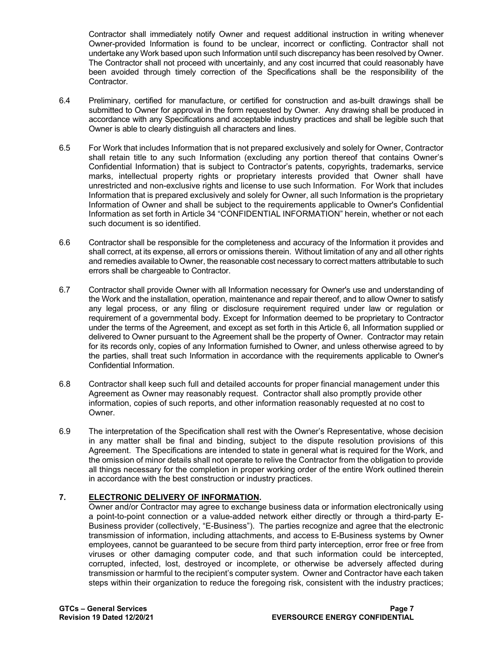Contractor shall immediately notify Owner and request additional instruction in writing whenever Owner-provided Information is found to be unclear, incorrect or conflicting. Contractor shall not undertake any Work based upon such Information until such discrepancy has been resolved by Owner. The Contractor shall not proceed with uncertainly, and any cost incurred that could reasonably have been avoided through timely correction of the Specifications shall be the responsibility of the Contractor.

- 6.4 Preliminary, certified for manufacture, or certified for construction and as-built drawings shall be submitted to Owner for approval in the form requested by Owner. Any drawing shall be produced in accordance with any Specifications and acceptable industry practices and shall be legible such that Owner is able to clearly distinguish all characters and lines.
- 6.5 For Work that includes Information that is not prepared exclusively and solely for Owner, Contractor shall retain title to any such Information (excluding any portion thereof that contains Owner's Confidential Information) that is subject to Contractor's patents, copyrights, trademarks, service marks, intellectual property rights or proprietary interests provided that Owner shall have unrestricted and non-exclusive rights and license to use such Information. For Work that includes Information that is prepared exclusively and solely for Owner, all such Information is the proprietary Information of Owner and shall be subject to the requirements applicable to Owner's Confidential Information as set forth in Article 34 "CONFIDENTIAL INFORMATION" herein, whether or not each such document is so identified.
- 6.6 Contractor shall be responsible for the completeness and accuracy of the Information it provides and shall correct, at its expense, all errors or omissions therein. Without limitation of any and all other rights and remedies available to Owner, the reasonable cost necessary to correct matters attributable to such errors shall be chargeable to Contractor.
- 6.7 Contractor shall provide Owner with all Information necessary for Owner's use and understanding of the Work and the installation, operation, maintenance and repair thereof, and to allow Owner to satisfy any legal process, or any filing or disclosure requirement required under law or regulation or requirement of a governmental body. Except for Information deemed to be proprietary to Contractor under the terms of the Agreement, and except as set forth in this Article 6, all Information supplied or delivered to Owner pursuant to the Agreement shall be the property of Owner. Contractor may retain for its records only, copies of any Information furnished to Owner, and unless otherwise agreed to by the parties, shall treat such Information in accordance with the requirements applicable to Owner's Confidential Information.
- 6.8 Contractor shall keep such full and detailed accounts for proper financial management under this Agreement as Owner may reasonably request. Contractor shall also promptly provide other information, copies of such reports, and other information reasonably requested at no cost to Owner.
- 6.9 The interpretation of the Specification shall rest with the Owner's Representative, whose decision in any matter shall be final and binding, subject to the dispute resolution provisions of this Agreement. The Specifications are intended to state in general what is required for the Work, and the omission of minor details shall not operate to relive the Contractor from the obligation to provide all things necessary for the completion in proper working order of the entire Work outlined therein in accordance with the best construction or industry practices.

## <span id="page-6-0"></span>**7. ELECTRONIC DELIVERY OF INFORMATION.**

Owner and/or Contractor may agree to exchange business data or information electronically using a point-to-point connection or a value-added network either directly or through a third-party E-Business provider (collectively, "E-Business"). The parties recognize and agree that the electronic transmission of information, including attachments, and access to E-Business systems by Owner employees, cannot be guaranteed to be secure from third party interception, error free or free from viruses or other damaging computer code, and that such information could be intercepted, corrupted, infected, lost, destroyed or incomplete, or otherwise be adversely affected during transmission or harmful to the recipient's computer system. Owner and Contractor have each taken steps within their organization to reduce the foregoing risk, consistent with the industry practices;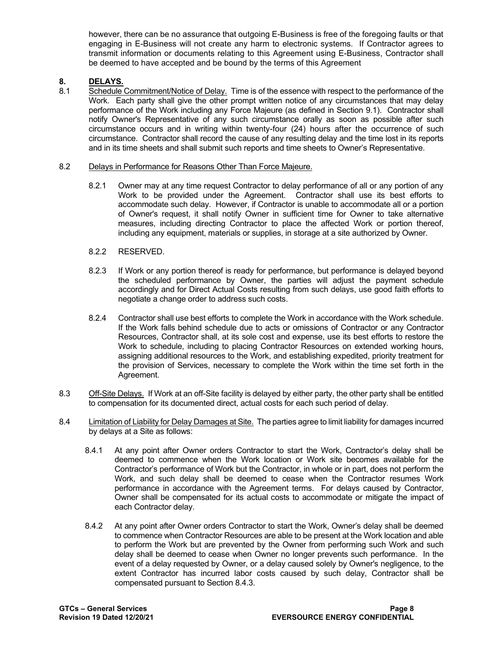however, there can be no assurance that outgoing E-Business is free of the foregoing faults or that engaging in E-Business will not create any harm to electronic systems. If Contractor agrees to transmit information or documents relating to this Agreement using E-Business, Contractor shall be deemed to have accepted and be bound by the terms of this Agreement

# **8. DELAYS.**

Schedule Commitment/Notice of Delay. Time is of the essence with respect to the performance of the Work. Each party shall give the other prompt written notice of any circumstances that may delay performance of the Work including any Force Majeure (as defined in Section 9.1). Contractor shall notify Owner's Representative of any such circumstance orally as soon as possible after such circumstance occurs and in writing within twenty-four (24) hours after the occurrence of such circumstance. Contractor shall record the cause of any resulting delay and the time lost in its reports and in its time sheets and shall submit such reports and time sheets to Owner's Representative.

#### 8.2 Delays in Performance for Reasons Other Than Force Majeure.

- 8.2.1 Owner may at any time request Contractor to delay performance of all or any portion of any Work to be provided under the Agreement. Contractor shall use its best efforts to accommodate such delay. However, if Contractor is unable to accommodate all or a portion of Owner's request, it shall notify Owner in sufficient time for Owner to take alternative measures, including directing Contractor to place the affected Work or portion thereof, including any equipment, materials or supplies, in storage at a site authorized by Owner.
- 8.2.2 RESERVED.
- 8.2.3 If Work or any portion thereof is ready for performance, but performance is delayed beyond the scheduled performance by Owner, the parties will adjust the payment schedule accordingly and for Direct Actual Costs resulting from such delays, use good faith efforts to negotiate a change order to address such costs.
- 8.2.4 Contractor shall use best efforts to complete the Work in accordance with the Work schedule. If the Work falls behind schedule due to acts or omissions of Contractor or any Contractor Resources, Contractor shall, at its sole cost and expense, use its best efforts to restore the Work to schedule, including to placing Contractor Resources on extended working hours, assigning additional resources to the Work, and establishing expedited, priority treatment for the provision of Services, necessary to complete the Work within the time set forth in the Agreement.
- 8.3 Off-Site Delays. If Work at an off-Site facility is delayed by either party, the other party shall be entitled to compensation for its documented direct, actual costs for each such period of delay.
- 8.4 Limitation of Liability for Delay Damages at Site. The parties agree to limit liability for damages incurred by delays at a Site as follows:
	- 8.4.1 At any point after Owner orders Contractor to start the Work, Contractor's delay shall be deemed to commence when the Work location or Work site becomes available for the Contractor's performance of Work but the Contractor, in whole or in part, does not perform the Work, and such delay shall be deemed to cease when the Contractor resumes Work performance in accordance with the Agreement terms. For delays caused by Contractor, Owner shall be compensated for its actual costs to accommodate or mitigate the impact of each Contractor delay.
	- 8.4.2 At any point after Owner orders Contractor to start the Work, Owner's delay shall be deemed to commence when Contractor Resources are able to be present at the Work location and able to perform the Work but are prevented by the Owner from performing such Work and such delay shall be deemed to cease when Owner no longer prevents such performance. In the event of a delay requested by Owner, or a delay caused solely by Owner's negligence, to the extent Contractor has incurred labor costs caused by such delay, Contractor shall be compensated pursuant to Section 8.4.3.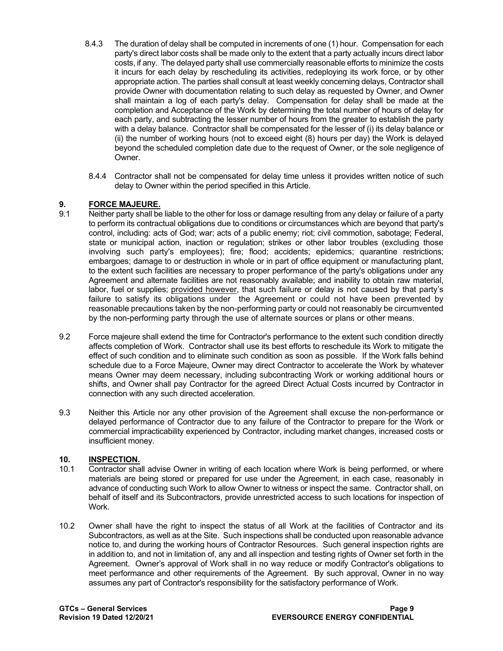- 8.4.3 The duration of delay shall be computed in increments of one (1) hour. Compensation for each party's direct labor costs shall be made only to the extent that a party actually incurs direct labor costs, if any. The delayed party shall use commercially reasonable efforts to minimize the costs it incurs for each delay by rescheduling its activities, redeploying its work force, or by other appropriate action. The parties shall consult at least weekly concerning delays, Contractor shall provide Owner with documentation relating to such delay as requested by Owner, and Owner shall maintain a log of each party's delay. Compensation for delay shall be made at the completion and Acceptance of the Work by determining the total number of hours of delay for each party, and subtracting the lesser number of hours from the greater to establish the party with a delay balance. Contractor shall be compensated for the lesser of (i) its delay balance or (ii) the number of working hours (not to exceed eight (8) hours per day) the Work is delayed beyond the scheduled completion date due to the request of Owner, or the sole negligence of Owner.
- 8.4.4 Contractor shall not be compensated for delay time unless it provides written notice of such delay to Owner within the period specified in this Article.

## <span id="page-8-0"></span>**9. FORCE MAJEURE.**

- 9.1 Neither party shall be liable to the other for loss or damage resulting from any delay or failure of a party to perform its contractual obligations due to conditions or circumstances which are beyond that party's control, including: acts of God; war; acts of a public enemy; riot; civil commotion, sabotage; Federal, state or municipal action, inaction or regulation; strikes or other labor troubles (excluding those involving such party's employees); fire; flood; accidents; epidemics; quarantine restrictions; embargoes; damage to or destruction in whole or in part of office equipment or manufacturing plant, to the extent such facilities are necessary to proper performance of the party's obligations under any Agreement and alternate facilities are not reasonably available; and inability to obtain raw material, labor, fuel or supplies; provided however, that such failure or delay is not caused by that party's failure to satisfy its obligations under the Agreement or could not have been prevented by reasonable precautions taken by the non-performing party or could not reasonably be circumvented by the non-performing party through the use of alternate sources or plans or other means.
- 9.2 Force majeure shall extend the time for Contractor's performance to the extent such condition directly affects completion of Work. Contractor shall use its best efforts to reschedule its Work to mitigate the effect of such condition and to eliminate such condition as soon as possible. If the Work falls behind schedule due to a Force Majeure, Owner may direct Contractor to accelerate the Work by whatever means Owner may deem necessary, including subcontracting Work or working additional hours or shifts, and Owner shall pay Contractor for the agreed Direct Actual Costs incurred by Contractor in connection with any such directed acceleration.
- 9.3 Neither this Article nor any other provision of the Agreement shall excuse the non-performance or delayed performance of Contractor due to any failure of the Contractor to prepare for the Work or commercial impracticability experienced by Contractor, including market changes, increased costs or insufficient money.

## <span id="page-8-1"></span>**10. INSPECTION.**

- 10.1 Contractor shall advise Owner in writing of each location where Work is being performed, or where materials are being stored or prepared for use under the Agreement, in each case, reasonably in advance of conducting such Work to allow Owner to witness or inspect the same. Contractor shall, on behalf of itself and its Subcontractors, provide unrestricted access to such locations for inspection of Work.
- 10.2 Owner shall have the right to inspect the status of all Work at the facilities of Contractor and its Subcontractors, as well as at the Site. Such inspections shall be conducted upon reasonable advance notice to, and during the working hours of Contractor Resources. Such general inspection rights are in addition to, and not in limitation of, any and all inspection and testing rights of Owner set forth in the Agreement. Owner's approval of Work shall in no way reduce or modify Contractor's obligations to meet performance and other requirements of the Agreement. By such approval, Owner in no way assumes any part of Contractor's responsibility for the satisfactory performance of Work.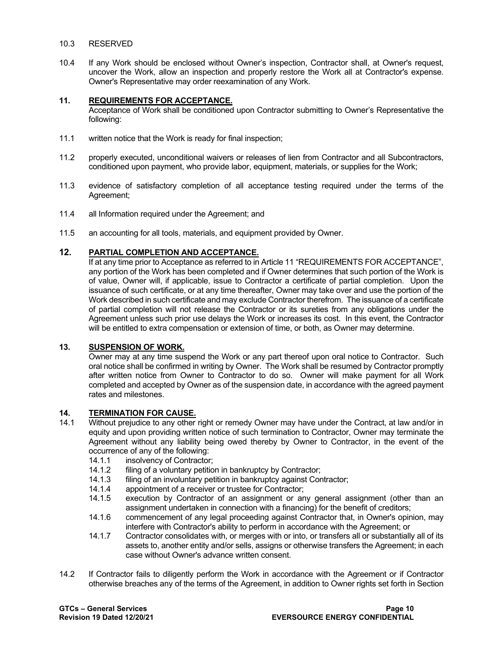#### 10.3 RESERVED

10.4 If any Work should be enclosed without Owner's inspection, Contractor shall, at Owner's request, uncover the Work, allow an inspection and properly restore the Work all at Contractor's expense. Owner's Representative may order reexamination of any Work.

#### <span id="page-9-0"></span>**11. REQUIREMENTS FOR ACCEPTANCE.**

Acceptance of Work shall be conditioned upon Contractor submitting to Owner's Representative the following:

- 11.1 written notice that the Work is ready for final inspection;
- 11.2 properly executed, unconditional waivers or releases of lien from Contractor and all Subcontractors, conditioned upon payment, who provide labor, equipment, materials, or supplies for the Work;
- 11.3 evidence of satisfactory completion of all acceptance testing required under the terms of the Agreement;
- 11.4 all Information required under the Agreement; and
- 11.5 an accounting for all tools, materials, and equipment provided by Owner.

## <span id="page-9-1"></span>**12. PARTIAL COMPLETION AND ACCEPTANCE.**

If at any time prior to Acceptance as referred to in Article 11 "REQUIREMENTS FOR ACCEPTANCE", any portion of the Work has been completed and if Owner determines that such portion of the Work is of value, Owner will, if applicable, issue to Contractor a certificate of partial completion. Upon the issuance of such certificate, or at any time thereafter, Owner may take over and use the portion of the Work described in such certificate and may exclude Contractor therefrom. The issuance of a certificate of partial completion will not release the Contractor or its sureties from any obligations under the Agreement unless such prior use delays the Work or increases its cost. In this event, the Contractor will be entitled to extra compensation or extension of time, or both, as Owner may determine.

#### <span id="page-9-2"></span>**13. SUSPENSION OF WORK.**

Owner may at any time suspend the Work or any part thereof upon oral notice to Contractor. Such oral notice shall be confirmed in writing by Owner. The Work shall be resumed by Contractor promptly after written notice from Owner to Contractor to do so. Owner will make payment for all Work completed and accepted by Owner as of the suspension date, in accordance with the agreed payment rates and milestones.

# <span id="page-9-3"></span>**14. TERMINATION FOR CAUSE.**

- Without prejudice to any other right or remedy Owner may have under the Contract, at law and/or in equity and upon providing written notice of such termination to Contractor, Owner may terminate the Agreement without any liability being owed thereby by Owner to Contractor, in the event of the occurrence of any of the following:
	- 14.1.1 insolvency of Contractor;<br>14.1.2 filing of a voluntary petition
	- 14.1.2 filing of a voluntary petition in bankruptcy by Contractor;<br>14.1.3 filing of an involuntary petition in bankruptcy against Con
	- 14.1.3 filing of an involuntary petition in bankruptcy against Contractor;<br>14.1.4 appointment of a receiver or trustee for Contractor:
	- 14.1.4 appointment of a receiver or trustee for Contractor;<br>14.1.5 execution by Contractor of an assignment or an
	- execution by Contractor of an assignment or any general assignment (other than an assignment undertaken in connection with a financing) for the benefit of creditors;
	- 14.1.6 commencement of any legal proceeding against Contractor that, in Owner's opinion, may interfere with Contractor's ability to perform in accordance with the Agreement; or
	- 14.1.7 Contractor consolidates with, or merges with or into, or transfers all or substantially all of its assets to, another entity and/or sells, assigns or otherwise transfers the Agreement; in each case without Owner's advance written consent.
- 14.2 If Contractor fails to diligently perform the Work in accordance with the Agreement or if Contractor otherwise breaches any of the terms of the Agreement, in addition to Owner rights set forth in Section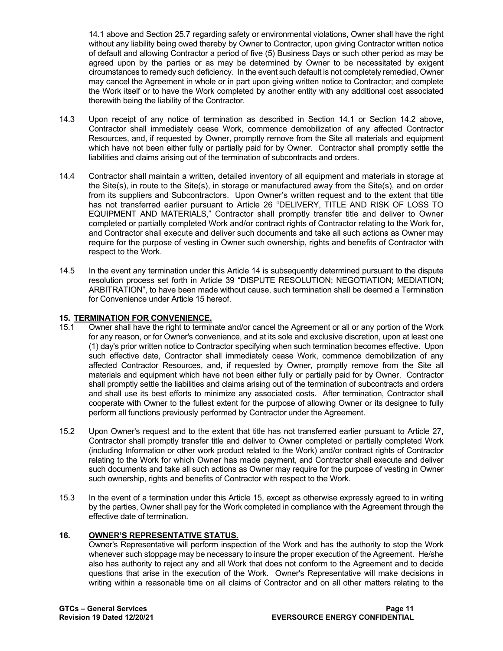14.1 above and Section 25.7 regarding safety or environmental violations, Owner shall have the right without any liability being owed thereby by Owner to Contractor, upon giving Contractor written notice of default and allowing Contractor a period of five (5) Business Days or such other period as may be agreed upon by the parties or as may be determined by Owner to be necessitated by exigent circumstances to remedy such deficiency. In the event such default is not completely remedied, Owner may cancel the Agreement in whole or in part upon giving written notice to Contractor; and complete the Work itself or to have the Work completed by another entity with any additional cost associated therewith being the liability of the Contractor.

- 14.3 Upon receipt of any notice of termination as described in Section 14.1 or Section 14.2 above, Contractor shall immediately cease Work, commence demobilization of any affected Contractor Resources, and, if requested by Owner, promptly remove from the Site all materials and equipment which have not been either fully or partially paid for by Owner. Contractor shall promptly settle the liabilities and claims arising out of the termination of subcontracts and orders.
- 14.4 Contractor shall maintain a written, detailed inventory of all equipment and materials in storage at the Site(s), in route to the Site(s), in storage or manufactured away from the Site(s), and on order from its suppliers and Subcontractors. Upon Owner's written request and to the extent that title has not transferred earlier pursuant to Article 26 "DELIVERY, TITLE AND RISK OF LOSS TO EQUIPMENT AND MATERIALS," Contractor shall promptly transfer title and deliver to Owner completed or partially completed Work and/or contract rights of Contractor relating to the Work for, and Contractor shall execute and deliver such documents and take all such actions as Owner may require for the purpose of vesting in Owner such ownership, rights and benefits of Contractor with respect to the Work.
- 14.5 In the event any termination under this Article 14 is subsequently determined pursuant to the dispute resolution process set forth in Article 39 "DISPUTE RESOLUTION; NEGOTIATION; MEDIATION; ARBITRATION", to have been made without cause, such termination shall be deemed a Termination for Convenience under Article 15 hereof.

#### <span id="page-10-0"></span>**15. TERMINATION FOR CONVENIENCE.**

- 15.1 Owner shall have the right to terminate and/or cancel the Agreement or all or any portion of the Work for any reason, or for Owner's convenience, and at its sole and exclusive discretion, upon at least one (1) day's prior written notice to Contractor specifying when such termination becomes effective. Upon such effective date, Contractor shall immediately cease Work, commence demobilization of any affected Contractor Resources, and, if requested by Owner, promptly remove from the Site all materials and equipment which have not been either fully or partially paid for by Owner. Contractor shall promptly settle the liabilities and claims arising out of the termination of subcontracts and orders and shall use its best efforts to minimize any associated costs. After termination, Contractor shall cooperate with Owner to the fullest extent for the purpose of allowing Owner or its designee to fully perform all functions previously performed by Contractor under the Agreement.
- 15.2 Upon Owner's request and to the extent that title has not transferred earlier pursuant to Article 27, Contractor shall promptly transfer title and deliver to Owner completed or partially completed Work (including Information or other work product related to the Work) and/or contract rights of Contractor relating to the Work for which Owner has made payment, and Contractor shall execute and deliver such documents and take all such actions as Owner may require for the purpose of vesting in Owner such ownership, rights and benefits of Contractor with respect to the Work.
- 15.3 In the event of a termination under this Article 15, except as otherwise expressly agreed to in writing by the parties, Owner shall pay for the Work completed in compliance with the Agreement through the effective date of termination.

# <span id="page-10-1"></span>**16. OWNER'S REPRESENTATIVE STATUS.**

Owner's Representative will perform inspection of the Work and has the authority to stop the Work whenever such stoppage may be necessary to insure the proper execution of the Agreement. He/she also has authority to reject any and all Work that does not conform to the Agreement and to decide questions that arise in the execution of the Work. Owner's Representative will make decisions in writing within a reasonable time on all claims of Contractor and on all other matters relating to the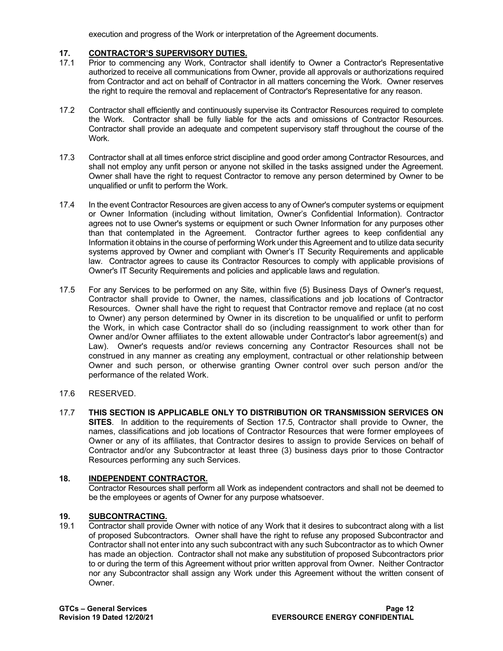execution and progress of the Work or interpretation of the Agreement documents.

# <span id="page-11-0"></span>**17. CONTRACTOR'S SUPERVISORY DUTIES.**

- Prior to commencing any Work, Contractor shall identify to Owner a Contractor's Representative authorized to receive all communications from Owner, provide all approvals or authorizations required from Contractor and act on behalf of Contractor in all matters concerning the Work. Owner reserves the right to require the removal and replacement of Contractor's Representative for any reason.
- 17.2 Contractor shall efficiently and continuously supervise its Contractor Resources required to complete the Work. Contractor shall be fully liable for the acts and omissions of Contractor Resources. Contractor shall provide an adequate and competent supervisory staff throughout the course of the Work.
- 17.3 Contractor shall at all times enforce strict discipline and good order among Contractor Resources, and shall not employ any unfit person or anyone not skilled in the tasks assigned under the Agreement. Owner shall have the right to request Contractor to remove any person determined by Owner to be unqualified or unfit to perform the Work.
- 17.4 In the event Contractor Resources are given access to any of Owner's computer systems or equipment or Owner Information (including without limitation, Owner's Confidential Information). Contractor agrees not to use Owner's systems or equipment or such Owner Information for any purposes other than that contemplated in the Agreement. Contractor further agrees to keep confidential any Information it obtains in the course of performing Work under this Agreement and to utilize data security systems approved by Owner and compliant with Owner's IT Security Requirements and applicable law. Contractor agrees to cause its Contractor Resources to comply with applicable provisions of Owner's IT Security Requirements and policies and applicable laws and regulation.
- 17.5 For any Services to be performed on any Site, within five (5) Business Days of Owner's request, Contractor shall provide to Owner, the names, classifications and job locations of Contractor Resources. Owner shall have the right to request that Contractor remove and replace (at no cost to Owner) any person determined by Owner in its discretion to be unqualified or unfit to perform the Work, in which case Contractor shall do so (including reassignment to work other than for Owner and/or Owner affiliates to the extent allowable under Contractor's labor agreement(s) and Law). Owner's requests and/or reviews concerning any Contractor Resources shall not be construed in any manner as creating any employment, contractual or other relationship between Owner and such person, or otherwise granting Owner control over such person and/or the performance of the related Work.
- 17.6 RESERVED.
- 17.7 **THIS SECTION IS APPLICABLE ONLY TO DISTRIBUTION OR TRANSMISSION SERVICES ON SITES**. In addition to the requirements of Section 17.5, Contractor shall provide to Owner, the names, classifications and job locations of Contractor Resources that were former employees of Owner or any of its affiliates, that Contractor desires to assign to provide Services on behalf of Contractor and/or any Subcontractor at least three (3) business days prior to those Contractor Resources performing any such Services.

## <span id="page-11-1"></span>**18. INDEPENDENT CONTRACTOR.**

Contractor Resources shall perform all Work as independent contractors and shall not be deemed to be the employees or agents of Owner for any purpose whatsoever.

#### <span id="page-11-2"></span>**19. SUBCONTRACTING.**

19.1 Contractor shall provide Owner with notice of any Work that it desires to subcontract along with a list of proposed Subcontractors. Owner shall have the right to refuse any proposed Subcontractor and Contractor shall not enter into any such subcontract with any such Subcontractor as to which Owner has made an objection. Contractor shall not make any substitution of proposed Subcontractors prior to or during the term of this Agreement without prior written approval from Owner. Neither Contractor nor any Subcontractor shall assign any Work under this Agreement without the written consent of Owner.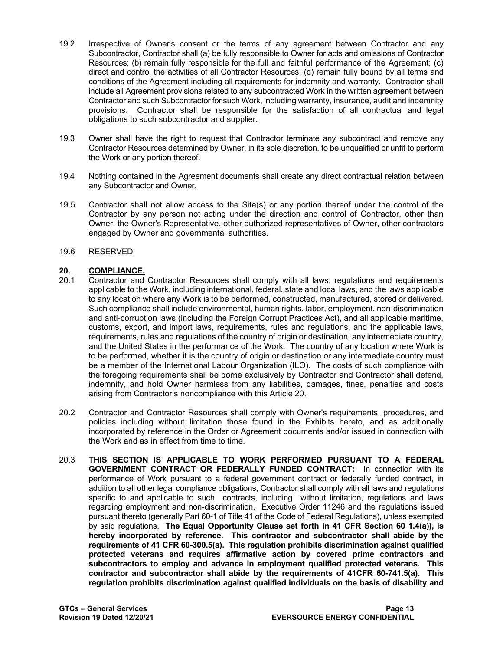- 19.2 Irrespective of Owner's consent or the terms of any agreement between Contractor and any Subcontractor, Contractor shall (a) be fully responsible to Owner for acts and omissions of Contractor Resources; (b) remain fully responsible for the full and faithful performance of the Agreement; (c) direct and control the activities of all Contractor Resources; (d) remain fully bound by all terms and conditions of the Agreement including all requirements for indemnity and warranty. Contractor shall include all Agreement provisions related to any subcontracted Work in the written agreement between Contractor and such Subcontractor for such Work, including warranty, insurance, audit and indemnity provisions. Contractor shall be responsible for the satisfaction of all contractual and legal obligations to such subcontractor and supplier.
- 19.3 Owner shall have the right to request that Contractor terminate any subcontract and remove any Contractor Resources determined by Owner, in its sole discretion, to be unqualified or unfit to perform the Work or any portion thereof.
- 19.4 Nothing contained in the Agreement documents shall create any direct contractual relation between any Subcontractor and Owner.
- 19.5 Contractor shall not allow access to the Site(s) or any portion thereof under the control of the Contractor by any person not acting under the direction and control of Contractor, other than Owner, the Owner's Representative, other authorized representatives of Owner, other contractors engaged by Owner and governmental authorities.
- 19.6 RESERVED.

# <span id="page-12-0"></span>20. **COMPLIANCE.**<br>20.1 Contractor and

- 20.1 Contractor and Contractor Resources shall comply with all laws, regulations and requirements applicable to the Work, including international, federal, state and local laws, and the laws applicable to any location where any Work is to be performed, constructed, manufactured, stored or delivered. Such compliance shall include environmental, human rights, labor, employment, non-discrimination and anti-corruption laws (including the Foreign Corrupt Practices Act), and all applicable maritime, customs, export, and import laws, requirements, rules and regulations, and the applicable laws, requirements, rules and regulations of the country of origin or destination, any intermediate country, and the United States in the performance of the Work. The country of any location where Work is to be performed, whether it is the country of origin or destination or any intermediate country must be a member of the International Labour Organization (ILO). The costs of such compliance with the foregoing requirements shall be borne exclusively by Contractor and Contractor shall defend, indemnify, and hold Owner harmless from any liabilities, damages, fines, penalties and costs arising from Contractor's noncompliance with this Article 20.
- 20.2 Contractor and Contractor Resources shall comply with Owner's requirements, procedures, and policies including without limitation those found in the Exhibits hereto, and as additionally incorporated by reference in the Order or Agreement documents and/or issued in connection with the Work and as in effect from time to time.
- 20.3 **THIS SECTION IS APPLICABLE TO WORK PERFORMED PURSUANT TO A FEDERAL GOVERNMENT CONTRACT OR FEDERALLY FUNDED CONTRACT:** In connection with its performance of Work pursuant to a federal government contract or federally funded contract, in addition to all other legal compliance obligations, Contractor shall comply with all laws and regulations specific to and applicable to such contracts, including without limitation, regulations and laws regarding employment and non-discrimination, Executive Order 11246 and the regulations issued pursuant thereto (generally Part 60-1 of Title 41 of the Code of Federal Regulations), unless exempted by said regulations. **The Equal Opportunity Clause set forth in 41 CFR Section 60 1.4(a)), is hereby incorporated by reference. This contractor and subcontractor shall abide by the requirements of 41 CFR 60-300.5(a). This regulation prohibits discrimination against qualified protected veterans and requires affirmative action by covered prime contractors and subcontractors to employ and advance in employment qualified protected veterans. This contractor and subcontractor shall abide by the requirements of 41CFR 60-741.5(a). This regulation prohibits discrimination against qualified individuals on the basis of disability and**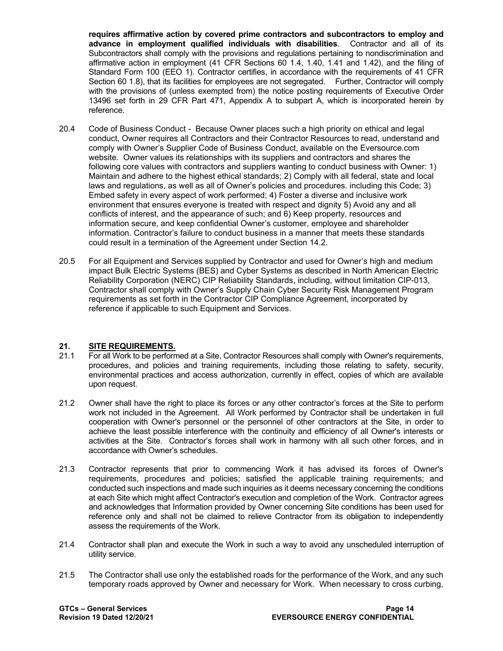**requires affirmative action by covered prime contractors and subcontractors to employ and advance in employment qualified individuals with disabilities**. Contractor and all of its Subcontractors shall comply with the provisions and regulations pertaining to nondiscrimination and affirmative action in employment (41 CFR Sections 60 1.4, 1.40, 1.41 and 1.42), and the filing of Standard Form 100 (EEO 1). Contractor certifies, in accordance with the requirements of 41 CFR Section 60 1.8), that its facilities for employees are not segregated. Further, Contractor will comply with the provisions of (unless exempted from) the notice posting requirements of Executive Order 13496 set forth in 29 CFR Part 471, Appendix A to subpart A, which is incorporated herein by reference.

- 20.4 Code of Business Conduct Because Owner places such a high priority on ethical and legal conduct, Owner requires all Contractors and their Contractor Resources to read, understand and comply with Owner's Supplier Code of Business Conduct, available on the Eversource.com website. Owner values its relationships with its suppliers and contractors and shares the following core values with contractors and suppliers wanting to conduct business with Owner: 1) Maintain and adhere to the highest ethical standards; 2) Comply with all federal, state and local laws and regulations, as well as all of Owner's policies and procedures. including this Code; 3) Embed safety in every aspect of work performed; 4) Foster a diverse and inclusive work environment that ensures everyone is treated with respect and dignity 5) Avoid any and all conflicts of interest, and the appearance of such; and 6) Keep property, resources and information secure, and keep confidential Owner's customer, employee and shareholder information. Contractor's failure to conduct business in a manner that meets these standards could result in a termination of the Agreement under Section 14.2.
- 20.5 For all Equipment and Services supplied by Contractor and used for Owner's high and medium impact Bulk Electric Systems (BES) and Cyber Systems as described in North American Electric Reliability Corporation (NERC) CIP Reliability Standards, including, without limitation CIP-013, Contractor shall comply with Owner's Supply Chain Cyber Security Risk Management Program requirements as set forth in the Contractor CIP Compliance Agreement, incorporated by reference if applicable to such Equipment and Services.

## <span id="page-13-0"></span>**21. SITE REQUIREMENTS.**

- 21.1 For all Work to be performed at a Site, Contractor Resources shall comply with Owner's requirements, procedures, and policies and training requirements, including those relating to safety, security, environmental practices and access authorization, currently in effect, copies of which are available upon request.
- 21.2 Owner shall have the right to place its forces or any other contractor's forces at the Site to perform work not included in the Agreement. All Work performed by Contractor shall be undertaken in full cooperation with Owner's personnel or the personnel of other contractors at the Site, in order to achieve the least possible interference with the continuity and efficiency of all Owner's interests or activities at the Site. Contractor's forces shall work in harmony with all such other forces, and in accordance with Owner's schedules.
- 21.3 Contractor represents that prior to commencing Work it has advised its forces of Owner's requirements, procedures and policies; satisfied the applicable training requirements; and conducted such inspections and made such inquiries as it deems necessary concerning the conditions at each Site which might affect Contractor's execution and completion of the Work. Contractor agrees and acknowledges that Information provided by Owner concerning Site conditions has been used for reference only and shall not be claimed to relieve Contractor from its obligation to independently assess the requirements of the Work.
- 21.4 Contractor shall plan and execute the Work in such a way to avoid any unscheduled interruption of utility service.
- 21.5 The Contractor shall use only the established roads for the performance of the Work, and any such temporary roads approved by Owner and necessary for Work. When necessary to cross curbing,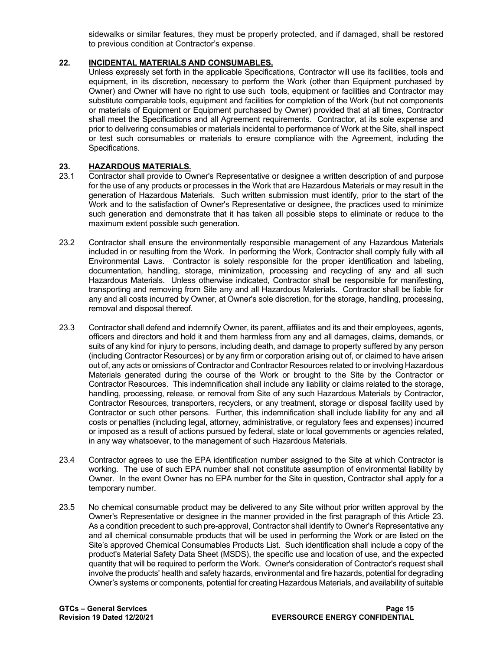sidewalks or similar features, they must be properly protected, and if damaged, shall be restored to previous condition at Contractor's expense.

#### <span id="page-14-0"></span>**22. INCIDENTAL MATERIALS AND CONSUMABLES.**

Unless expressly set forth in the applicable Specifications, Contractor will use its facilities, tools and equipment, in its discretion, necessary to perform the Work (other than Equipment purchased by Owner) and Owner will have no right to use such tools, equipment or facilities and Contractor may substitute comparable tools, equipment and facilities for completion of the Work (but not components or materials of Equipment or Equipment purchased by Owner) provided that at all times, Contractor shall meet the Specifications and all Agreement requirements. Contractor, at its sole expense and prior to delivering consumables or materials incidental to performance of Work at the Site, shall inspect or test such consumables or materials to ensure compliance with the Agreement, including the Specifications.

# <span id="page-14-1"></span>**23. HAZARDOUS MATERIALS.**

- 23.1 Contractor shall provide to Owner's Representative or designee a written description of and purpose for the use of any products or processes in the Work that are Hazardous Materials or may result in the generation of Hazardous Materials. Such written submission must identify, prior to the start of the Work and to the satisfaction of Owner's Representative or designee, the practices used to minimize such generation and demonstrate that it has taken all possible steps to eliminate or reduce to the maximum extent possible such generation.
- 23.2 Contractor shall ensure the environmentally responsible management of any Hazardous Materials included in or resulting from the Work. In performing the Work, Contractor shall comply fully with all Environmental Laws. Contractor is solely responsible for the proper identification and labeling, documentation, handling, storage, minimization, processing and recycling of any and all such Hazardous Materials. Unless otherwise indicated, Contractor shall be responsible for manifesting, transporting and removing from Site any and all Hazardous Materials. Contractor shall be liable for any and all costs incurred by Owner, at Owner's sole discretion, for the storage, handling, processing, removal and disposal thereof.
- 23.3 Contractor shall defend and indemnify Owner, its parent, affiliates and its and their employees, agents, officers and directors and hold it and them harmless from any and all damages, claims, demands, or suits of any kind for injury to persons, including death, and damage to property suffered by any person (including Contractor Resources) or by any firm or corporation arising out of, or claimed to have arisen out of, any acts or omissions of Contractor and Contractor Resources related to or involving Hazardous Materials generated during the course of the Work or brought to the Site by the Contractor or Contractor Resources. This indemnification shall include any liability or claims related to the storage, handling, processing, release, or removal from Site of any such Hazardous Materials by Contractor, Contractor Resources, transporters, recyclers, or any treatment, storage or disposal facility used by Contractor or such other persons. Further, this indemnification shall include liability for any and all costs or penalties (including legal, attorney, administrative, or regulatory fees and expenses) incurred or imposed as a result of actions pursued by federal, state or local governments or agencies related, in any way whatsoever, to the management of such Hazardous Materials.
- 23.4 Contractor agrees to use the EPA identification number assigned to the Site at which Contractor is working. The use of such EPA number shall not constitute assumption of environmental liability by Owner. In the event Owner has no EPA number for the Site in question, Contractor shall apply for a temporary number.
- 23.5 No chemical consumable product may be delivered to any Site without prior written approval by the Owner's Representative or designee in the manner provided in the first paragraph of this Article 23. As a condition precedent to such pre-approval, Contractor shall identify to Owner's Representative any and all chemical consumable products that will be used in performing the Work or are listed on the Site's approved Chemical Consumables Products List. Such identification shall include a copy of the product's Material Safety Data Sheet (MSDS), the specific use and location of use, and the expected quantity that will be required to perform the Work. Owner's consideration of Contractor's request shall involve the products' health and safety hazards, environmental and fire hazards, potential for degrading Owner's systems or components, potential for creating Hazardous Materials, and availability of suitable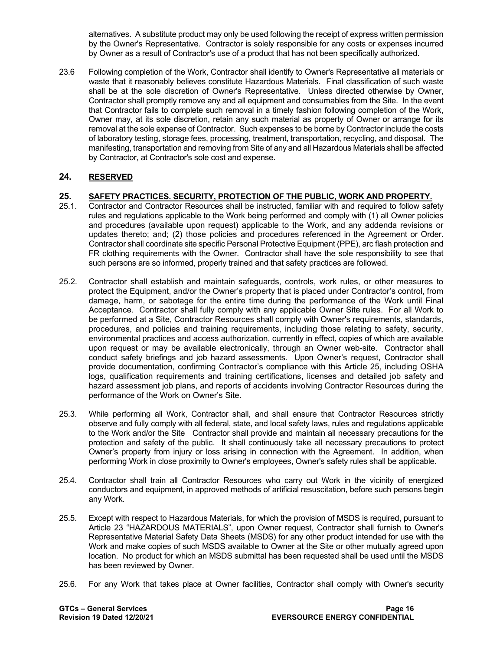alternatives. A substitute product may only be used following the receipt of express written permission by the Owner's Representative. Contractor is solely responsible for any costs or expenses incurred by Owner as a result of Contractor's use of a product that has not been specifically authorized.

23.6 Following completion of the Work, Contractor shall identify to Owner's Representative all materials or waste that it reasonably believes constitute Hazardous Materials. Final classification of such waste shall be at the sole discretion of Owner's Representative. Unless directed otherwise by Owner, Contractor shall promptly remove any and all equipment and consumables from the Site. In the event that Contractor fails to complete such removal in a timely fashion following completion of the Work, Owner may, at its sole discretion, retain any such material as property of Owner or arrange for its removal at the sole expense of Contractor. Such expenses to be borne by Contractor include the costs of laboratory testing, storage fees, processing, treatment, transportation, recycling, and disposal. The manifesting, transportation and removing from Site of any and all Hazardous Materials shall be affected by Contractor, at Contractor's sole cost and expense.

## <span id="page-15-0"></span>**24. RESERVED**

## <span id="page-15-1"></span>**25. SAFETY PRACTICES. SECURITY, PROTECTION OF THE PUBLIC, WORK AND PROPERTY.**

- 25.1. Contractor and Contractor Resources shall be instructed, familiar with and required to follow safety rules and regulations applicable to the Work being performed and comply with (1) all Owner policies and procedures (available upon request) applicable to the Work, and any addenda revisions or updates thereto; and; (2) those policies and procedures referenced in the Agreement or Order. Contractor shall coordinate site specific Personal Protective Equipment (PPE), arc flash protection and FR clothing requirements with the Owner. Contractor shall have the sole responsibility to see that such persons are so informed, properly trained and that safety practices are followed.
- 25.2. Contractor shall establish and maintain safeguards, controls, work rules, or other measures to protect the Equipment, and/or the Owner's property that is placed under Contractor's control, from damage, harm, or sabotage for the entire time during the performance of the Work until Final Acceptance. Contractor shall fully comply with any applicable Owner Site rules. For all Work to be performed at a Site, Contractor Resources shall comply with Owner's requirements, standards, procedures, and policies and training requirements, including those relating to safety, security, environmental practices and access authorization, currently in effect, copies of which are available upon request or may be available electronically, through an Owner web-site. Contractor shall conduct safety briefings and job hazard assessments. Upon Owner's request, Contractor shall provide documentation, confirming Contractor's compliance with this Article 25, including OSHA logs, qualification requirements and training certifications, licenses and detailed job safety and hazard assessment job plans, and reports of accidents involving Contractor Resources during the performance of the Work on Owner's Site.
- 25.3. While performing all Work, Contractor shall, and shall ensure that Contractor Resources strictly observe and fully comply with all federal, state, and local safety laws, rules and regulations applicable to the Work and/or the Site Contractor shall provide and maintain all necessary precautions for the protection and safety of the public. It shall continuously take all necessary precautions to protect Owner's property from injury or loss arising in connection with the Agreement. In addition, when performing Work in close proximity to Owner's employees, Owner's safety rules shall be applicable.
- 25.4. Contractor shall train all Contractor Resources who carry out Work in the vicinity of energized conductors and equipment, in approved methods of artificial resuscitation, before such persons begin any Work.
- 25.5. Except with respect to Hazardous Materials, for which the provision of MSDS is required, pursuant to Article 23 "HAZARDOUS MATERIALS", upon Owner request, Contractor shall furnish to Owner's Representative Material Safety Data Sheets (MSDS) for any other product intended for use with the Work and make copies of such MSDS available to Owner at the Site or other mutually agreed upon location. No product for which an MSDS submittal has been requested shall be used until the MSDS has been reviewed by Owner.
- 25.6. For any Work that takes place at Owner facilities, Contractor shall comply with Owner's security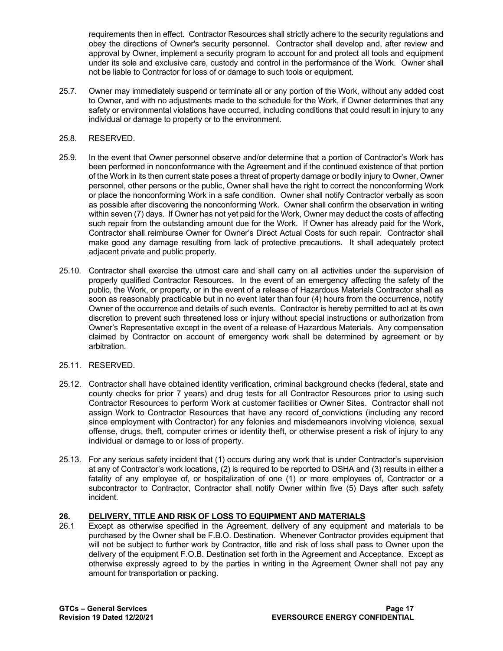requirements then in effect. Contractor Resources shall strictly adhere to the security regulations and obey the directions of Owner's security personnel. Contractor shall develop and, after review and approval by Owner, implement a security program to account for and protect all tools and equipment under its sole and exclusive care, custody and control in the performance of the Work. Owner shall not be liable to Contractor for loss of or damage to such tools or equipment.

25.7. Owner may immediately suspend or terminate all or any portion of the Work, without any added cost to Owner, and with no adjustments made to the schedule for the Work, if Owner determines that any safety or environmental violations have occurred, including conditions that could result in injury to any individual or damage to property or to the environment.

## 25.8. RESERVED.

- 25.9. In the event that Owner personnel observe and/or determine that a portion of Contractor's Work has been performed in nonconformance with the Agreement and if the continued existence of that portion of the Work in its then current state poses a threat of property damage or bodily injury to Owner, Owner personnel, other persons or the public, Owner shall have the right to correct the nonconforming Work or place the nonconforming Work in a safe condition. Owner shall notify Contractor verbally as soon as possible after discovering the nonconforming Work. Owner shall confirm the observation in writing within seven (7) days. If Owner has not yet paid for the Work, Owner may deduct the costs of affecting such repair from the outstanding amount due for the Work. If Owner has already paid for the Work, Contractor shall reimburse Owner for Owner's Direct Actual Costs for such repair. Contractor shall make good any damage resulting from lack of protective precautions. It shall adequately protect adjacent private and public property.
- 25.10. Contractor shall exercise the utmost care and shall carry on all activities under the supervision of properly qualified Contractor Resources. In the event of an emergency affecting the safety of the public, the Work, or property, or in the event of a release of Hazardous Materials Contractor shall as soon as reasonably practicable but in no event later than four (4) hours from the occurrence, notify Owner of the occurrence and details of such events. Contractor is hereby permitted to act at its own discretion to prevent such threatened loss or injury without special instructions or authorization from Owner's Representative except in the event of a release of Hazardous Materials. Any compensation claimed by Contractor on account of emergency work shall be determined by agreement or by arbitration.

#### 25.11. RESERVED.

- 25.12. Contractor shall have obtained identity verification, criminal background checks (federal, state and county checks for prior 7 years) and drug tests for all Contractor Resources prior to using such Contractor Resources to perform Work at customer facilities or Owner Sites. Contractor shall not assign Work to Contractor Resources that have any record of convictions (including any record since employment with Contractor) for any felonies and misdemeanors involving violence, sexual offense, drugs, theft, computer crimes or identity theft, or otherwise present a risk of injury to any individual or damage to or loss of property.
- 25.13. For any serious safety incident that (1) occurs during any work that is under Contractor's supervision at any of Contractor's work locations, (2) is required to be reported to OSHA and (3) results in either a fatality of any employee of, or hospitalization of one (1) or more employees of, Contractor or a subcontractor to Contractor, Contractor shall notify Owner within five (5) Days after such safety incident.

## <span id="page-16-0"></span>**26. DELIVERY, TITLE AND RISK OF LOSS TO EQUIPMENT AND MATERIALS**

26.1 Except as otherwise specified in the Agreement, delivery of any equipment and materials to be purchased by the Owner shall be F.B.O. Destination. Whenever Contractor provides equipment that will not be subject to further work by Contractor, title and risk of loss shall pass to Owner upon the delivery of the equipment F.O.B. Destination set forth in the Agreement and Acceptance. Except as otherwise expressly agreed to by the parties in writing in the Agreement Owner shall not pay any amount for transportation or packing.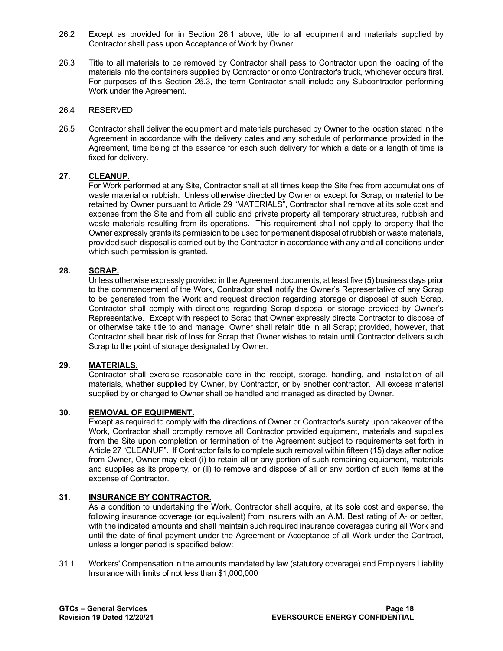- 26.2 Except as provided for in Section 26.1 above, title to all equipment and materials supplied by Contractor shall pass upon Acceptance of Work by Owner.
- 26.3 Title to all materials to be removed by Contractor shall pass to Contractor upon the loading of the materials into the containers supplied by Contractor or onto Contractor's truck, whichever occurs first. For purposes of this Section 26.3, the term Contractor shall include any Subcontractor performing Work under the Agreement.

#### 26.4 RESERVED

26.5 Contractor shall deliver the equipment and materials purchased by Owner to the location stated in the Agreement in accordance with the delivery dates and any schedule of performance provided in the Agreement, time being of the essence for each such delivery for which a date or a length of time is fixed for delivery.

## <span id="page-17-0"></span>**27. CLEANUP.**

For Work performed at any Site, Contractor shall at all times keep the Site free from accumulations of waste material or rubbish. Unless otherwise directed by Owner or except for Scrap, or material to be retained by Owner pursuant to Article 29 "MATERIALS", Contractor shall remove at its sole cost and expense from the Site and from all public and private property all temporary structures, rubbish and waste materials resulting from its operations. This requirement shall not apply to property that the Owner expressly grants its permission to be used for permanent disposal of rubbish or waste materials, provided such disposal is carried out by the Contractor in accordance with any and all conditions under which such permission is granted.

## <span id="page-17-1"></span>**28. SCRAP.**

Unless otherwise expressly provided in the Agreement documents, at least five (5) business days prior to the commencement of the Work, Contractor shall notify the Owner's Representative of any Scrap to be generated from the Work and request direction regarding storage or disposal of such Scrap. Contractor shall comply with directions regarding Scrap disposal or storage provided by Owner's Representative. Except with respect to Scrap that Owner expressly directs Contractor to dispose of or otherwise take title to and manage, Owner shall retain title in all Scrap; provided, however, that Contractor shall bear risk of loss for Scrap that Owner wishes to retain until Contractor delivers such Scrap to the point of storage designated by Owner.

#### <span id="page-17-2"></span>**29. MATERIALS.**

Contractor shall exercise reasonable care in the receipt, storage, handling, and installation of all materials, whether supplied by Owner, by Contractor, or by another contractor. All excess material supplied by or charged to Owner shall be handled and managed as directed by Owner.

## <span id="page-17-3"></span>**30. REMOVAL OF EQUIPMENT.**

Except as required to comply with the directions of Owner or Contractor's surety upon takeover of the Work, Contractor shall promptly remove all Contractor provided equipment, materials and supplies from the Site upon completion or termination of the Agreement subject to requirements set forth in Article 27 "CLEANUP". If Contractor fails to complete such removal within fifteen (15) days after notice from Owner, Owner may elect (i) to retain all or any portion of such remaining equipment, materials and supplies as its property, or (ii) to remove and dispose of all or any portion of such items at the expense of Contractor.

## <span id="page-17-4"></span>**31. INSURANCE BY CONTRACTOR.**

As a condition to undertaking the Work, Contractor shall acquire, at its sole cost and expense, the following insurance coverage (or equivalent) from insurers with an A.M. Best rating of A- or better, with the indicated amounts and shall maintain such required insurance coverages during all Work and until the date of final payment under the Agreement or Acceptance of all Work under the Contract, unless a longer period is specified below:

31.1 Workers' Compensation in the amounts mandated by law (statutory coverage) and Employers Liability Insurance with limits of not less than \$1,000,000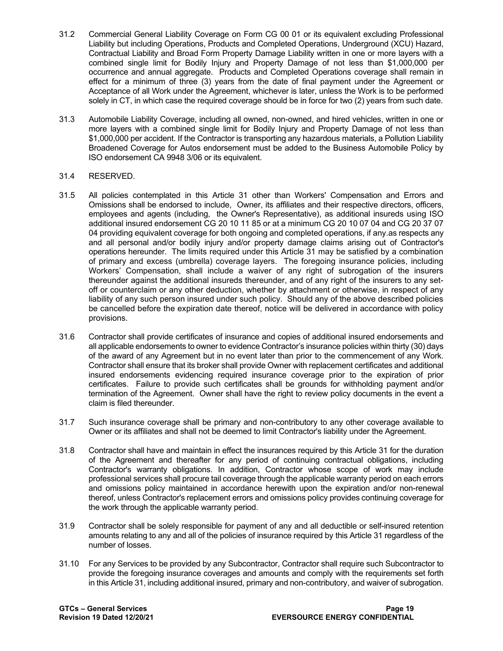- 31.2 Commercial General Liability Coverage on Form CG 00 01 or its equivalent excluding Professional Liability but including Operations, Products and Completed Operations, Underground (XCU) Hazard, Contractual Liability and Broad Form Property Damage Liability written in one or more layers with a combined single limit for Bodily Injury and Property Damage of not less than \$1,000,000 per occurrence and annual aggregate. Products and Completed Operations coverage shall remain in effect for a minimum of three (3) years from the date of final payment under the Agreement or Acceptance of all Work under the Agreement, whichever is later, unless the Work is to be performed solely in CT, in which case the required coverage should be in force for two (2) years from such date.
- 31.3 Automobile Liability Coverage, including all owned, non-owned, and hired vehicles, written in one or more layers with a combined single limit for Bodily Injury and Property Damage of not less than \$1,000,000 per accident. If the Contractor is transporting any hazardous materials, a Pollution Liability Broadened Coverage for Autos endorsement must be added to the Business Automobile Policy by ISO endorsement CA 9948 3/06 or its equivalent.

## 31.4 RESERVED.

- 31.5 All policies contemplated in this Article 31 other than Workers' Compensation and Errors and Omissions shall be endorsed to include, Owner, its affiliates and their respective directors, officers, employees and agents (including, the Owner's Representative), as additional insureds using ISO additional insured endorsement CG 20 10 11 85 or at a minimum CG 20 10 07 04 and CG 20 37 07 04 providing equivalent coverage for both ongoing and completed operations, if any.as respects any and all personal and/or bodily injury and/or property damage claims arising out of Contractor's operations hereunder. The limits required under this Article 31 may be satisfied by a combination of primary and excess (umbrella) coverage layers. The foregoing insurance policies, including Workers' Compensation, shall include a waiver of any right of subrogation of the insurers thereunder against the additional insureds thereunder, and of any right of the insurers to any setoff or counterclaim or any other deduction, whether by attachment or otherwise, in respect of any liability of any such person insured under such policy. Should any of the above described policies be cancelled before the expiration date thereof, notice will be delivered in accordance with policy provisions.
- 31.6 Contractor shall provide certificates of insurance and copies of additional insured endorsements and all applicable endorsements to owner to evidence Contractor's insurance policies within thirty (30) days of the award of any Agreement but in no event later than prior to the commencement of any Work. Contractor shall ensure that its broker shall provide Owner with replacement certificates and additional insured endorsements evidencing required insurance coverage prior to the expiration of prior certificates. Failure to provide such certificates shall be grounds for withholding payment and/or termination of the Agreement. Owner shall have the right to review policy documents in the event a claim is filed thereunder.
- 31.7 Such insurance coverage shall be primary and non-contributory to any other coverage available to Owner or its affiliates and shall not be deemed to limit Contractor's liability under the Agreement.
- 31.8 Contractor shall have and maintain in effect the insurances required by this Article 31 for the duration of the Agreement and thereafter for any period of continuing contractual obligations, including Contractor's warranty obligations. In addition, Contractor whose scope of work may include professional services shall procure tail coverage through the applicable warranty period on each errors and omissions policy maintained in accordance herewith upon the expiration and/or non-renewal thereof, unless Contractor's replacement errors and omissions policy provides continuing coverage for the work through the applicable warranty period.
- 31.9 Contractor shall be solely responsible for payment of any and all deductible or self-insured retention amounts relating to any and all of the policies of insurance required by this Article 31 regardless of the number of losses.
- 31.10 For any Services to be provided by any Subcontractor, Contractor shall require such Subcontractor to provide the foregoing insurance coverages and amounts and comply with the requirements set forth in this Article 31, including additional insured, primary and non-contributory, and waiver of subrogation.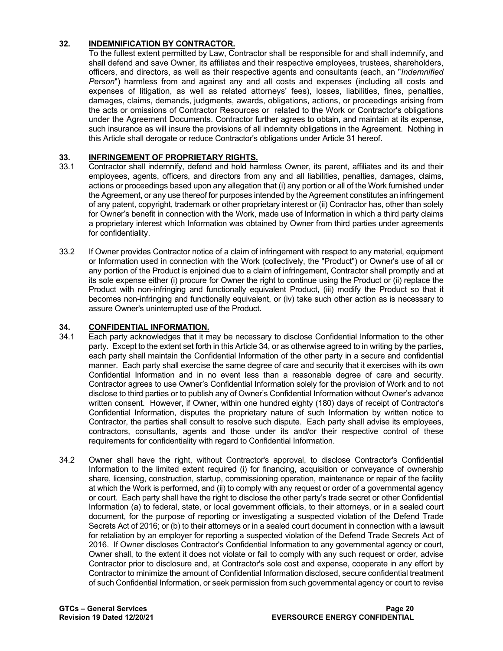## <span id="page-19-0"></span>**32. INDEMNIFICATION BY CONTRACTOR.**

To the fullest extent permitted by Law, Contractor shall be responsible for and shall indemnify, and shall defend and save Owner, its affiliates and their respective employees, trustees, shareholders, officers, and directors, as well as their respective agents and consultants (each, an "*Indemnified Person*") harmless from and against any and all costs and expenses (including all costs and expenses of litigation, as well as related attorneys' fees), losses, liabilities, fines, penalties, damages, claims, demands, judgments, awards, obligations, actions, or proceedings arising from the acts or omissions of Contractor Resources or related to the Work or Contractor's obligations under the Agreement Documents. Contractor further agrees to obtain, and maintain at its expense, such insurance as will insure the provisions of all indemnity obligations in the Agreement. Nothing in this Article shall derogate or reduce Contractor's obligations under Article 31 hereof.

# <span id="page-19-1"></span>**33. INFRINGEMENT OF PROPRIETARY RIGHTS.**<br>33.1 Contractor shall indemnify, defend and hold hare

- Contractor shall indemnify, defend and hold harmless Owner, its parent, affiliates and its and their employees, agents, officers, and directors from any and all liabilities, penalties, damages, claims, actions or proceedings based upon any allegation that (i) any portion or all of the Work furnished under the Agreement, or any use thereof for purposes intended by the Agreement constitutes an infringement of any patent, copyright, trademark or other proprietary interest or (ii) Contractor has, other than solely for Owner's benefit in connection with the Work, made use of Information in which a third party claims a proprietary interest which Information was obtained by Owner from third parties under agreements for confidentiality.
- 33.2 If Owner provides Contractor notice of a claim of infringement with respect to any material, equipment or Information used in connection with the Work (collectively, the "Product") or Owner's use of all or any portion of the Product is enjoined due to a claim of infringement, Contractor shall promptly and at its sole expense either (i) procure for Owner the right to continue using the Product or (ii) replace the Product with non-infringing and functionally equivalent Product, (iii) modify the Product so that it becomes non-infringing and functionally equivalent, or (iv) take such other action as is necessary to assure Owner's uninterrupted use of the Product.

# <span id="page-19-2"></span>**34. CONFIDENTIAL INFORMATION.**

- Each party acknowledges that it may be necessary to disclose Confidential Information to the other party. Except to the extent set forth in this Article 34, or as otherwise agreed to in writing by the parties, each party shall maintain the Confidential Information of the other party in a secure and confidential manner. Each party shall exercise the same degree of care and security that it exercises with its own Confidential Information and in no event less than a reasonable degree of care and security. Contractor agrees to use Owner's Confidential Information solely for the provision of Work and to not disclose to third parties or to publish any of Owner's Confidential Information without Owner's advance written consent. However, if Owner, within one hundred eighty (180) days of receipt of Contractor's Confidential Information, disputes the proprietary nature of such Information by written notice to Contractor, the parties shall consult to resolve such dispute. Each party shall advise its employees, contractors, consultants, agents and those under its and/or their respective control of these requirements for confidentiality with regard to Confidential Information.
- 34.2 Owner shall have the right, without Contractor's approval, to disclose Contractor's Confidential Information to the limited extent required (i) for financing, acquisition or conveyance of ownership share, licensing, construction, startup, commissioning operation, maintenance or repair of the facility at which the Work is performed, and (ii) to comply with any request or order of a governmental agency or court. Each party shall have the right to disclose the other party's trade secret or other Confidential Information (a) to federal, state, or local government officials, to their attorneys, or in a sealed court document, for the purpose of reporting or investigating a suspected violation of the Defend Trade Secrets Act of 2016; or (b) to their attorneys or in a sealed court document in connection with a lawsuit for retaliation by an employer for reporting a suspected violation of the Defend Trade Secrets Act of 2016. If Owner discloses Contractor's Confidential Information to any governmental agency or court, Owner shall, to the extent it does not violate or fail to comply with any such request or order, advise Contractor prior to disclosure and, at Contractor's sole cost and expense, cooperate in any effort by Contractor to minimize the amount of Confidential Information disclosed, secure confidential treatment of such Confidential Information, or seek permission from such governmental agency or court to revise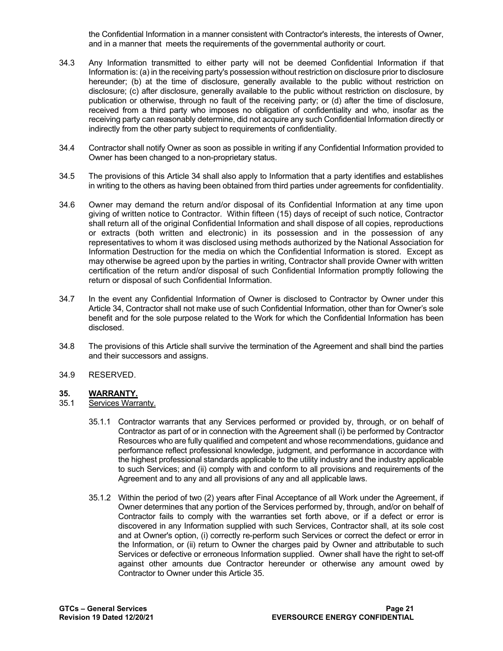the Confidential Information in a manner consistent with Contractor's interests, the interests of Owner, and in a manner that meets the requirements of the governmental authority or court.

- 34.3 Any Information transmitted to either party will not be deemed Confidential Information if that Information is: (a) in the receiving party's possession without restriction on disclosure prior to disclosure hereunder; (b) at the time of disclosure, generally available to the public without restriction on disclosure; (c) after disclosure, generally available to the public without restriction on disclosure, by publication or otherwise, through no fault of the receiving party; or (d) after the time of disclosure, received from a third party who imposes no obligation of confidentiality and who, insofar as the receiving party can reasonably determine, did not acquire any such Confidential Information directly or indirectly from the other party subject to requirements of confidentiality.
- 34.4 Contractor shall notify Owner as soon as possible in writing if any Confidential Information provided to Owner has been changed to a non-proprietary status.
- 34.5 The provisions of this Article 34 shall also apply to Information that a party identifies and establishes in writing to the others as having been obtained from third parties under agreements for confidentiality.
- 34.6 Owner may demand the return and/or disposal of its Confidential Information at any time upon giving of written notice to Contractor. Within fifteen (15) days of receipt of such notice, Contractor shall return all of the original Confidential Information and shall dispose of all copies, reproductions or extracts (both written and electronic) in its possession and in the possession of any representatives to whom it was disclosed using methods authorized by the National Association for Information Destruction for the media on which the Confidential Information is stored. Except as may otherwise be agreed upon by the parties in writing, Contractor shall provide Owner with written certification of the return and/or disposal of such Confidential Information promptly following the return or disposal of such Confidential Information.
- 34.7 In the event any Confidential Information of Owner is disclosed to Contractor by Owner under this Article 34, Contractor shall not make use of such Confidential Information, other than for Owner's sole benefit and for the sole purpose related to the Work for which the Confidential Information has been disclosed.
- 34.8 The provisions of this Article shall survive the termination of the Agreement and shall bind the parties and their successors and assigns.
- 34.9 RESERVED.

# <span id="page-20-0"></span>**35. WARRANTY.**

- Services Warranty.
	- 35.1.1 Contractor warrants that any Services performed or provided by, through, or on behalf of Contractor as part of or in connection with the Agreement shall (i) be performed by Contractor Resources who are fully qualified and competent and whose recommendations, guidance and performance reflect professional knowledge, judgment, and performance in accordance with the highest professional standards applicable to the utility industry and the industry applicable to such Services; and (ii) comply with and conform to all provisions and requirements of the Agreement and to any and all provisions of any and all applicable laws.
	- 35.1.2 Within the period of two (2) years after Final Acceptance of all Work under the Agreement, if Owner determines that any portion of the Services performed by, through, and/or on behalf of Contractor fails to comply with the warranties set forth above, or if a defect or error is discovered in any Information supplied with such Services, Contractor shall, at its sole cost and at Owner's option, (i) correctly re-perform such Services or correct the defect or error in the Information, or (ii) return to Owner the charges paid by Owner and attributable to such Services or defective or erroneous Information supplied. Owner shall have the right to set-off against other amounts due Contractor hereunder or otherwise any amount owed by Contractor to Owner under this Article 35.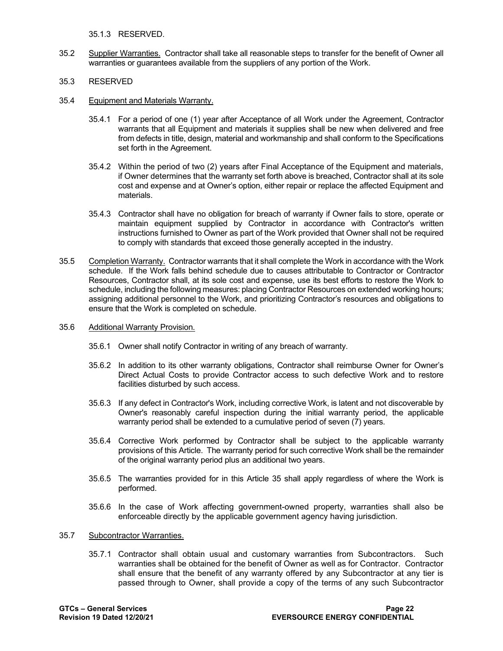35.1.3 RESERVED.

35.2 Supplier Warranties. Contractor shall take all reasonable steps to transfer for the benefit of Owner all warranties or guarantees available from the suppliers of any portion of the Work.

#### 35.3 RESERVED

- 35.4 Equipment and Materials Warranty.
	- 35.4.1 For a period of one (1) year after Acceptance of all Work under the Agreement, Contractor warrants that all Equipment and materials it supplies shall be new when delivered and free from defects in title, design, material and workmanship and shall conform to the Specifications set forth in the Agreement.
	- 35.4.2 Within the period of two (2) years after Final Acceptance of the Equipment and materials, if Owner determines that the warranty set forth above is breached, Contractor shall at its sole cost and expense and at Owner's option, either repair or replace the affected Equipment and materials.
	- 35.4.3 Contractor shall have no obligation for breach of warranty if Owner fails to store, operate or maintain equipment supplied by Contractor in accordance with Contractor's written instructions furnished to Owner as part of the Work provided that Owner shall not be required to comply with standards that exceed those generally accepted in the industry.
- 35.5 Completion Warranty. Contractor warrants that it shall complete the Work in accordance with the Work schedule. If the Work falls behind schedule due to causes attributable to Contractor or Contractor Resources, Contractor shall, at its sole cost and expense, use its best efforts to restore the Work to schedule, including the following measures: placing Contractor Resources on extended working hours; assigning additional personnel to the Work, and prioritizing Contractor's resources and obligations to ensure that the Work is completed on schedule.
- 35.6 Additional Warranty Provision.
	- 35.6.1 Owner shall notify Contractor in writing of any breach of warranty.
	- 35.6.2 In addition to its other warranty obligations, Contractor shall reimburse Owner for Owner's Direct Actual Costs to provide Contractor access to such defective Work and to restore facilities disturbed by such access.
	- 35.6.3 If any defect in Contractor's Work, including corrective Work, is latent and not discoverable by Owner's reasonably careful inspection during the initial warranty period, the applicable warranty period shall be extended to a cumulative period of seven (7) years.
	- 35.6.4 Corrective Work performed by Contractor shall be subject to the applicable warranty provisions of this Article. The warranty period for such corrective Work shall be the remainder of the original warranty period plus an additional two years.
	- 35.6.5 The warranties provided for in this Article 35 shall apply regardless of where the Work is performed.
	- 35.6.6 In the case of Work affecting government-owned property, warranties shall also be enforceable directly by the applicable government agency having jurisdiction.
- 35.7 Subcontractor Warranties.
	- 35.7.1 Contractor shall obtain usual and customary warranties from Subcontractors. Such warranties shall be obtained for the benefit of Owner as well as for Contractor. Contractor shall ensure that the benefit of any warranty offered by any Subcontractor at any tier is passed through to Owner, shall provide a copy of the terms of any such Subcontractor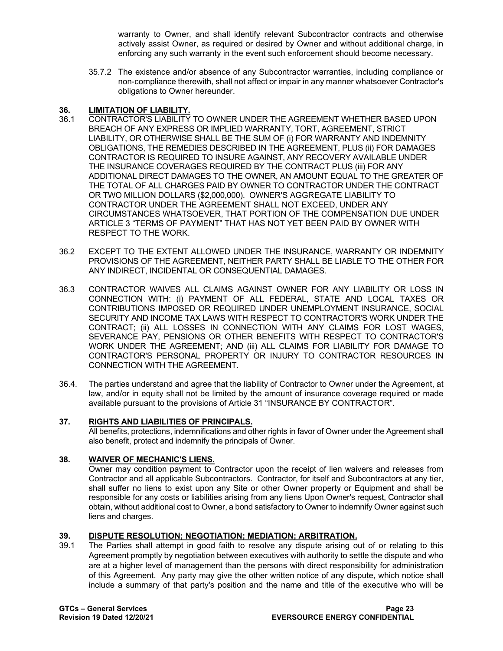warranty to Owner, and shall identify relevant Subcontractor contracts and otherwise actively assist Owner, as required or desired by Owner and without additional charge, in enforcing any such warranty in the event such enforcement should become necessary.

35.7.2 The existence and/or absence of any Subcontractor warranties, including compliance or non-compliance therewith, shall not affect or impair in any manner whatsoever Contractor's obligations to Owner hereunder.

# <span id="page-22-0"></span>**36. LIMITATION OF LIABILITY.**

- 36.1 CONTRACTOR'S LIABILITY TO OWNER UNDER THE AGREEMENT WHETHER BASED UPON BREACH OF ANY EXPRESS OR IMPLIED WARRANTY, TORT, AGREEMENT, STRICT LIABILITY, OR OTHERWISE SHALL BE THE SUM OF (i) FOR WARRANTY AND INDEMNITY OBLIGATIONS, THE REMEDIES DESCRIBED IN THE AGREEMENT, PLUS (ii) FOR DAMAGES CONTRACTOR IS REQUIRED TO INSURE AGAINST, ANY RECOVERY AVAILABLE UNDER THE INSURANCE COVERAGES REQUIRED BY THE CONTRACT PLUS (iii) FOR ANY ADDITIONAL DIRECT DAMAGES TO THE OWNER, AN AMOUNT EQUAL TO THE GREATER OF THE TOTAL OF ALL CHARGES PAID BY OWNER TO CONTRACTOR UNDER THE CONTRACT OR TWO MILLION DOLLARS (\$2,000,000). OWNER'S AGGREGATE LIABILITY TO CONTRACTOR UNDER THE AGREEMENT SHALL NOT EXCEED, UNDER ANY CIRCUMSTANCES WHATSOEVER, THAT PORTION OF THE COMPENSATION DUE UNDER ARTICLE 3 "TERMS OF PAYMENT" THAT HAS NOT YET BEEN PAID BY OWNER WITH RESPECT TO THE WORK.
- 36.2 EXCEPT TO THE EXTENT ALLOWED UNDER THE INSURANCE, WARRANTY OR INDEMNITY PROVISIONS OF THE AGREEMENT, NEITHER PARTY SHALL BE LIABLE TO THE OTHER FOR ANY INDIRECT, INCIDENTAL OR CONSEQUENTIAL DAMAGES.
- 36.3 CONTRACTOR WAIVES ALL CLAIMS AGAINST OWNER FOR ANY LIABILITY OR LOSS IN CONNECTION WITH: (i) PAYMENT OF ALL FEDERAL, STATE AND LOCAL TAXES OR CONTRIBUTIONS IMPOSED OR REQUIRED UNDER UNEMPLOYMENT INSURANCE, SOCIAL SECURITY AND INCOME TAX LAWS WITH RESPECT TO CONTRACTOR'S WORK UNDER THE CONTRACT; (ii) ALL LOSSES IN CONNECTION WITH ANY CLAIMS FOR LOST WAGES, SEVERANCE PAY, PENSIONS OR OTHER BENEFITS WITH RESPECT TO CONTRACTOR'S WORK UNDER THE AGREEMENT; AND (iii) ALL CLAIMS FOR LIABILITY FOR DAMAGE TO CONTRACTOR'S PERSONAL PROPERTY OR INJURY TO CONTRACTOR RESOURCES IN CONNECTION WITH THE AGREEMENT.
- 36.4. The parties understand and agree that the liability of Contractor to Owner under the Agreement, at law, and/or in equity shall not be limited by the amount of insurance coverage required or made available pursuant to the provisions of Article 31 "INSURANCE BY CONTRACTOR".

## <span id="page-22-1"></span>**37. RIGHTS AND LIABILITIES OF PRINCIPALS.**

All benefits, protections, indemnifications and other rights in favor of Owner under the Agreement shall also benefit, protect and indemnify the principals of Owner.

## <span id="page-22-2"></span>**38. WAIVER OF MECHANIC'S LIENS.**

Owner may condition payment to Contractor upon the receipt of lien waivers and releases from Contractor and all applicable Subcontractors. Contractor, for itself and Subcontractors at any tier, shall suffer no liens to exist upon any Site or other Owner property or Equipment and shall be responsible for any costs or liabilities arising from any liens Upon Owner's request, Contractor shall obtain, without additional cost to Owner, a bond satisfactory to Owner to indemnify Owner against such liens and charges.

# <span id="page-22-3"></span>**39. DISPUTE RESOLUTION; NEGOTIATION; MEDIATION; ARBITRATION.**

39.1 The Parties shall attempt in good faith to resolve any dispute arising out of or relating to this Agreement promptly by negotiation between executives with authority to settle the dispute and who are at a higher level of management than the persons with direct responsibility for administration of this Agreement. Any party may give the other written notice of any dispute, which notice shall include a summary of that party's position and the name and title of the executive who will be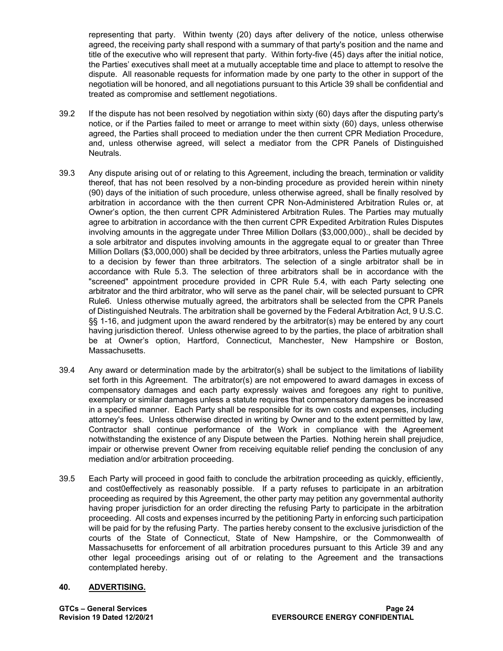representing that party. Within twenty (20) days after delivery of the notice, unless otherwise agreed, the receiving party shall respond with a summary of that party's position and the name and title of the executive who will represent that party. Within forty-five (45) days after the initial notice, the Parties' executives shall meet at a mutually acceptable time and place to attempt to resolve the dispute. All reasonable requests for information made by one party to the other in support of the negotiation will be honored, and all negotiations pursuant to this Article 39 shall be confidential and treated as compromise and settlement negotiations.

- 39.2 If the dispute has not been resolved by negotiation within sixty (60) days after the disputing party's notice, or if the Parties failed to meet or arrange to meet within sixty (60) days, unless otherwise agreed, the Parties shall proceed to mediation under the then current CPR Mediation Procedure, and, unless otherwise agreed, will select a mediator from the CPR Panels of Distinguished Neutrals.
- 39.3 Any dispute arising out of or relating to this Agreement, including the breach, termination or validity thereof, that has not been resolved by a non-binding procedure as provided herein within ninety (90) days of the initiation of such procedure, unless otherwise agreed, shall be finally resolved by arbitration in accordance with the then current CPR Non-Administered Arbitration Rules or, at Owner's option, the then current CPR Administered Arbitration Rules. The Parties may mutually agree to arbitration in accordance with the then current CPR Expedited Arbitration Rules Disputes involving amounts in the aggregate under Three Million Dollars (\$3,000,000)., shall be decided by a sole arbitrator and disputes involving amounts in the aggregate equal to or greater than Three Million Dollars (\$3,000,000) shall be decided by three arbitrators, unless the Parties mutually agree to a decision by fewer than three arbitrators. The selection of a single arbitrator shall be in accordance with Rule 5.3. The selection of three arbitrators shall be in accordance with the "screened" appointment procedure provided in CPR Rule 5.4, with each Party selecting one arbitrator and the third arbitrator, who will serve as the panel chair, will be selected pursuant to CPR Rule6. Unless otherwise mutually agreed, the arbitrators shall be selected from the CPR Panels of Distinguished Neutrals. The arbitration shall be governed by the Federal Arbitration Act, 9 U.S.C. §§ 1-16, and judgment upon the award rendered by the arbitrator(s) may be entered by any court having jurisdiction thereof. Unless otherwise agreed to by the parties, the place of arbitration shall be at Owner's option, Hartford, Connecticut, Manchester, New Hampshire or Boston, Massachusetts.
- 39.4 Any award or determination made by the arbitrator(s) shall be subject to the limitations of liability set forth in this Agreement. The arbitrator(s) are not empowered to award damages in excess of compensatory damages and each party expressly waives and foregoes any right to punitive, exemplary or similar damages unless a statute requires that compensatory damages be increased in a specified manner. Each Party shall be responsible for its own costs and expenses, including attorney's fees. Unless otherwise directed in writing by Owner and to the extent permitted by law, Contractor shall continue performance of the Work in compliance with the Agreement notwithstanding the existence of any Dispute between the Parties. Nothing herein shall prejudice, impair or otherwise prevent Owner from receiving equitable relief pending the conclusion of any mediation and/or arbitration proceeding.
- 39.5 Each Party will proceed in good faith to conclude the arbitration proceeding as quickly, efficiently, and cost0effectively as reasonably possible. If a party refuses to participate in an arbitration proceeding as required by this Agreement, the other party may petition any governmental authority having proper jurisdiction for an order directing the refusing Party to participate in the arbitration proceeding. All costs and expenses incurred by the petitioning Party in enforcing such participation will be paid for by the refusing Party. The parties hereby consent to the exclusive jurisdiction of the courts of the State of Connecticut, State of New Hampshire, or the Commonwealth of Massachusetts for enforcement of all arbitration procedures pursuant to this Article 39 and any other legal proceedings arising out of or relating to the Agreement and the transactions contemplated hereby.

## <span id="page-23-0"></span>**40. ADVERTISING.**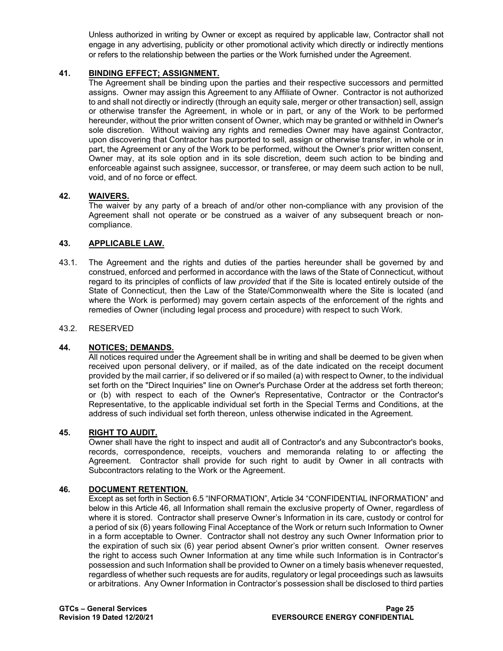Unless authorized in writing by Owner or except as required by applicable law, Contractor shall not engage in any advertising, publicity or other promotional activity which directly or indirectly mentions or refers to the relationship between the parties or the Work furnished under the Agreement.

## <span id="page-24-0"></span>**41. BINDING EFFECT; ASSIGNMENT.**

The Agreement shall be binding upon the parties and their respective successors and permitted assigns. Owner may assign this Agreement to any Affiliate of Owner. Contractor is not authorized to and shall not directly or indirectly (through an equity sale, merger or other transaction) sell, assign or otherwise transfer the Agreement, in whole or in part, or any of the Work to be performed hereunder, without the prior written consent of Owner, which may be granted or withheld in Owner's sole discretion. Without waiving any rights and remedies Owner may have against Contractor, upon discovering that Contractor has purported to sell, assign or otherwise transfer, in whole or in part, the Agreement or any of the Work to be performed, without the Owner's prior written consent, Owner may, at its sole option and in its sole discretion, deem such action to be binding and enforceable against such assignee, successor, or transferee, or may deem such action to be null, void, and of no force or effect.

## <span id="page-24-1"></span>**42. WAIVERS.**

The waiver by any party of a breach of and/or other non-compliance with any provision of the Agreement shall not operate or be construed as a waiver of any subsequent breach or noncompliance.

#### <span id="page-24-2"></span>**43. APPLICABLE LAW.**

43.1. The Agreement and the rights and duties of the parties hereunder shall be governed by and construed, enforced and performed in accordance with the laws of the State of Connecticut, without regard to its principles of conflicts of law *provided* that if the Site is located entirely outside of the State of Connecticut, then the Law of the State/Commonwealth where the Site is located (and where the Work is performed) may govern certain aspects of the enforcement of the rights and remedies of Owner (including legal process and procedure) with respect to such Work.

#### 43.2. RESERVED

#### <span id="page-24-3"></span>**44. NOTICES; DEMANDS.**

All notices required under the Agreement shall be in writing and shall be deemed to be given when received upon personal delivery, or if mailed, as of the date indicated on the receipt document provided by the mail carrier, if so delivered or if so mailed (a) with respect to Owner, to the individual set forth on the "Direct Inquiries" line on Owner's Purchase Order at the address set forth thereon; or (b) with respect to each of the Owner's Representative, Contractor or the Contractor's Representative, to the applicable individual set forth in the Special Terms and Conditions, at the address of such individual set forth thereon, unless otherwise indicated in the Agreement.

#### <span id="page-24-4"></span>**45. RIGHT TO AUDIT.**

Owner shall have the right to inspect and audit all of Contractor's and any Subcontractor's books, records, correspondence, receipts, vouchers and memoranda relating to or affecting the Agreement. Contractor shall provide for such right to audit by Owner in all contracts with Subcontractors relating to the Work or the Agreement.

#### <span id="page-24-5"></span>**46. DOCUMENT RETENTION.**

Except as set forth in Section 6.5 "INFORMATION", Article 34 "CONFIDENTIAL INFORMATION" and below in this Article 46, all Information shall remain the exclusive property of Owner, regardless of where it is stored. Contractor shall preserve Owner's Information in its care, custody or control for a period of six (6) years following Final Acceptance of the Work or return such Information to Owner in a form acceptable to Owner. Contractor shall not destroy any such Owner Information prior to the expiration of such six (6) year period absent Owner's prior written consent. Owner reserves the right to access such Owner Information at any time while such Information is in Contractor's possession and such Information shall be provided to Owner on a timely basis whenever requested, regardless of whether such requests are for audits, regulatory or legal proceedings such as lawsuits or arbitrations. Any Owner Information in Contractor's possession shall be disclosed to third parties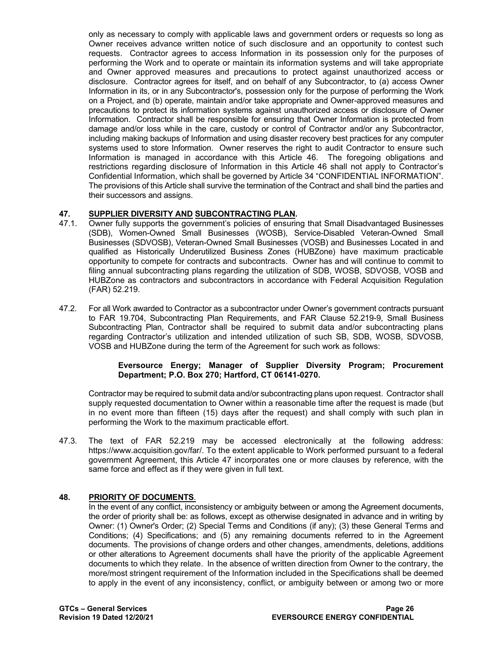only as necessary to comply with applicable laws and government orders or requests so long as Owner receives advance written notice of such disclosure and an opportunity to contest such requests. Contractor agrees to access Information in its possession only for the purposes of performing the Work and to operate or maintain its information systems and will take appropriate and Owner approved measures and precautions to protect against unauthorized access or disclosure. Contractor agrees for itself, and on behalf of any Subcontractor, to (a) access Owner Information in its, or in any Subcontractor's, possession only for the purpose of performing the Work on a Project, and (b) operate, maintain and/or take appropriate and Owner-approved measures and precautions to protect its information systems against unauthorized access or disclosure of Owner Information. Contractor shall be responsible for ensuring that Owner Information is protected from damage and/or loss while in the care, custody or control of Contractor and/or any Subcontractor, including making backups of Information and using disaster recovery best practices for any computer systems used to store Information. Owner reserves the right to audit Contractor to ensure such Information is managed in accordance with this Article 46. The foregoing obligations and restrictions regarding disclosure of Information in this Article 46 shall not apply to Contractor's Confidential Information, which shall be governed by Article 34 "CONFIDENTIAL INFORMATION". The provisions of this Article shall survive the termination of the Contract and shall bind the parties and their successors and assigns.

# <span id="page-25-0"></span>**47. SUPPLIER DIVERSITY AND SUBCONTRACTING PLAN.**

- 47.1. Owner fully supports the government's policies of ensuring that Small Disadvantaged Businesses (SDB), Women-Owned Small Businesses (WOSB), Service-Disabled Veteran-Owned Small Businesses (SDVOSB), Veteran-Owned Small Businesses (VOSB) and Businesses Located in and qualified as Historically Underutilized Business Zones (HUBZone) have maximum practicable opportunity to compete for contracts and subcontracts. Owner has and will continue to commit to filing annual subcontracting plans regarding the utilization of SDB, WOSB, SDVOSB, VOSB and HUBZone as contractors and subcontractors in accordance with Federal Acquisition Regulation (FAR) 52.219.
- 47.2. For all Work awarded to Contractor as a subcontractor under Owner's government contracts pursuant to FAR 19.704, Subcontracting Plan Requirements, and FAR Clause 52.219-9, Small Business Subcontracting Plan, Contractor shall be required to submit data and/or subcontracting plans regarding Contractor's utilization and intended utilization of such SB, SDB, WOSB, SDVOSB, VOSB and HUBZone during the term of the Agreement for such work as follows:

#### **Eversource Energy; Manager of Supplier Diversity Program; Procurement Department; P.O. Box 270; Hartford, CT 06141-0270.**

Contractor may be required to submit data and/or subcontracting plans upon request. Contractor shall supply requested documentation to Owner within a reasonable time after the request is made (but in no event more than fifteen (15) days after the request) and shall comply with such plan in performing the Work to the maximum practicable effort.

47.3. The text of FAR 52.219 may be accessed electronically at the following address: [https://www.acquisition.gov/far/.](https://www.acquisition.gov/far/) To the extent applicable to Work performed pursuant to a federal government Agreement, this Article 47 incorporates one or more clauses by reference, with the same force and effect as if they were given in full text.

## <span id="page-25-1"></span>**48. PRIORITY OF DOCUMENTS**.

In the event of any conflict, inconsistency or ambiguity between or among the Agreement documents, the order of priority shall be: as follows, except as otherwise designated in advance and in writing by Owner: (1) Owner's Order; (2) Special Terms and Conditions (if any); (3) these General Terms and Conditions; (4) Specifications; and (5) any remaining documents referred to in the Agreement documents. The provisions of change orders and other changes, amendments, deletions, additions or other alterations to Agreement documents shall have the priority of the applicable Agreement documents to which they relate. In the absence of written direction from Owner to the contrary, the more/most stringent requirement of the Information included in the Specifications shall be deemed to apply in the event of any inconsistency, conflict, or ambiguity between or among two or more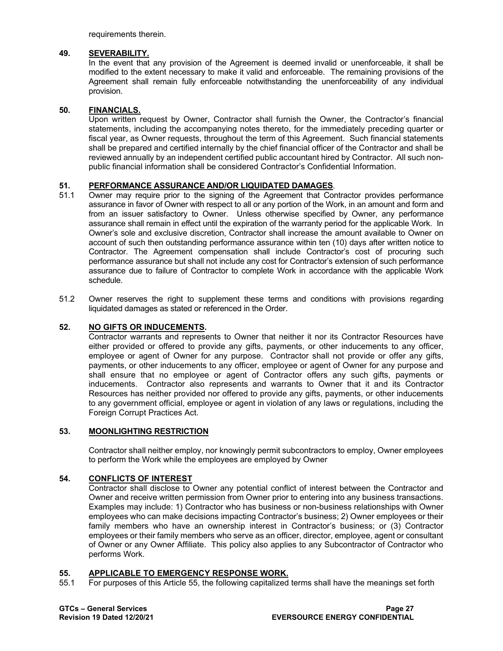requirements therein.

#### <span id="page-26-0"></span>**49. SEVERABILITY.**

In the event that any provision of the Agreement is deemed invalid or unenforceable, it shall be modified to the extent necessary to make it valid and enforceable. The remaining provisions of the Agreement shall remain fully enforceable notwithstanding the unenforceability of any individual provision.

## <span id="page-26-1"></span>**50. FINANCIALS.**

Upon written request by Owner, Contractor shall furnish the Owner, the Contractor's financial statements, including the accompanying notes thereto, for the immediately preceding quarter or fiscal year, as Owner requests, throughout the term of this Agreement. Such financial statements shall be prepared and certified internally by the chief financial officer of the Contractor and shall be reviewed annually by an independent certified public accountant hired by Contractor. All such nonpublic financial information shall be considered Contractor's Confidential Information.

# <span id="page-26-2"></span>**51. PERFORMANCE ASSURANCE AND/OR LIQUIDATED DAMAGES**.

- Owner may require prior to the signing of the Agreement that Contractor provides performance assurance in favor of Owner with respect to all or any portion of the Work, in an amount and form and from an issuer satisfactory to Owner. Unless otherwise specified by Owner, any performance assurance shall remain in effect until the expiration of the warranty period for the applicable Work. In Owner's sole and exclusive discretion, Contractor shall increase the amount available to Owner on account of such then outstanding performance assurance within ten (10) days after written notice to Contractor. The Agreement compensation shall include Contractor's cost of procuring such performance assurance but shall not include any cost for Contractor's extension of such performance assurance due to failure of Contractor to complete Work in accordance with the applicable Work schedule.
- 51.2 Owner reserves the right to supplement these terms and conditions with provisions regarding liquidated damages as stated or referenced in the Order.

#### <span id="page-26-3"></span>**52. NO GIFTS OR INDUCEMENTS.**

Contractor warrants and represents to Owner that neither it nor its Contractor Resources have either provided or offered to provide any gifts, payments, or other inducements to any officer, employee or agent of Owner for any purpose. Contractor shall not provide or offer any gifts, payments, or other inducements to any officer, employee or agent of Owner for any purpose and shall ensure that no employee or agent of Contractor offers any such gifts, payments or inducements. Contractor also represents and warrants to Owner that it and its Contractor Resources has neither provided nor offered to provide any gifts, payments, or other inducements to any government official, employee or agent in violation of any laws or regulations, including the Foreign Corrupt Practices Act.

## <span id="page-26-4"></span>**53. MOONLIGHTING RESTRICTION**

Contractor shall neither employ, nor knowingly permit subcontractors to employ, Owner employees to perform the Work while the employees are employed by Owner

#### <span id="page-26-5"></span>**54. CONFLICTS OF INTEREST**

Contractor shall disclose to Owner any potential conflict of interest between the Contractor and Owner and receive written permission from Owner prior to entering into any business transactions. Examples may include: 1) Contractor who has business or non-business relationships with Owner employees who can make decisions impacting Contractor's business; 2) Owner employees or their family members who have an ownership interest in Contractor's business; or (3) Contractor employees or their family members who serve as an officer, director, employee, agent or consultant of Owner or any Owner Affiliate. This policy also applies to any Subcontractor of Contractor who performs Work.

# <span id="page-26-6"></span>**55. APPLICABLE TO EMERGENCY RESPONSE WORK.**

55.1 For purposes of this Article 55, the following capitalized terms shall have the meanings set forth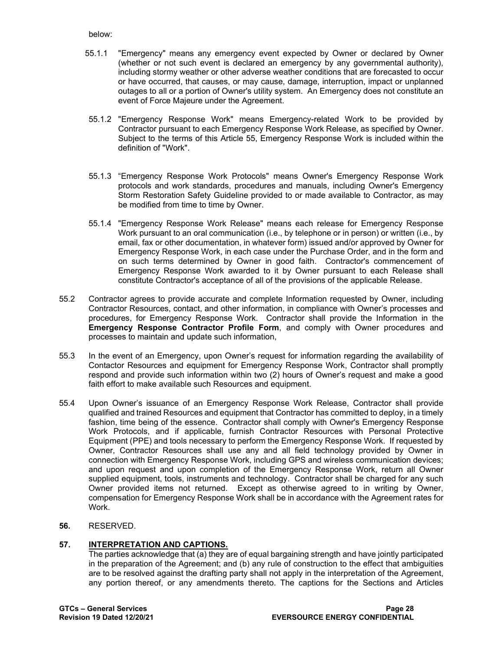below:

- 55.1.1 "Emergency" means any emergency event expected by Owner or declared by Owner (whether or not such event is declared an emergency by any governmental authority), including stormy weather or other adverse weather conditions that are forecasted to occur or have occurred, that causes, or may cause, damage, interruption, impact or unplanned outages to all or a portion of Owner's utility system. An Emergency does not constitute an event of Force Majeure under the Agreement.
- 55.1.2 "Emergency Response Work" means Emergency-related Work to be provided by Contractor pursuant to each Emergency Response Work Release, as specified by Owner. Subject to the terms of this Article 55, Emergency Response Work is included within the definition of "Work".
- 55.1.3 "Emergency Response Work Protocols" means Owner's Emergency Response Work protocols and work standards, procedures and manuals, including Owner's Emergency Storm Restoration Safety Guideline provided to or made available to Contractor, as may be modified from time to time by Owner.
- 55.1.4 "Emergency Response Work Release" means each release for Emergency Response Work pursuant to an oral communication (i.e., by telephone or in person) or written (i.e., by email, fax or other documentation, in whatever form) issued and/or approved by Owner for Emergency Response Work, in each case under the Purchase Order, and in the form and on such terms determined by Owner in good faith. Contractor's commencement of Emergency Response Work awarded to it by Owner pursuant to each Release shall constitute Contractor's acceptance of all of the provisions of the applicable Release.
- 55.2 Contractor agrees to provide accurate and complete Information requested by Owner, including Contractor Resources, contact, and other information, in compliance with Owner's processes and procedures, for Emergency Response Work. Contractor shall provide the Information in the **Emergency Response Contractor Profile Form**, and comply with Owner procedures and processes to maintain and update such information,
- 55.3 In the event of an Emergency, upon Owner's request for information regarding the availability of Contactor Resources and equipment for Emergency Response Work, Contractor shall promptly respond and provide such information within two (2) hours of Owner's request and make a good faith effort to make available such Resources and equipment.
- 55.4 Upon Owner's issuance of an Emergency Response Work Release, Contractor shall provide qualified and trained Resources and equipment that Contractor has committed to deploy, in a timely fashion, time being of the essence. Contractor shall comply with Owner's Emergency Response Work Protocols, and if applicable, furnish Contractor Resources with Personal Protective Equipment (PPE) and tools necessary to perform the Emergency Response Work. If requested by Owner, Contractor Resources shall use any and all field technology provided by Owner in connection with Emergency Response Work, including GPS and wireless communication devices; and upon request and upon completion of the Emergency Response Work, return all Owner supplied equipment, tools, instruments and technology. Contractor shall be charged for any such Owner provided items not returned. Except as otherwise agreed to in writing by Owner, compensation for Emergency Response Work shall be in accordance with the Agreement rates for Work.
- **56.** RESERVED.

# <span id="page-27-0"></span>**57. INTERPRETATION AND CAPTIONS.**

The parties acknowledge that (a) they are of equal bargaining strength and have jointly participated in the preparation of the Agreement; and (b) any rule of construction to the effect that ambiguities are to be resolved against the drafting party shall not apply in the interpretation of the Agreement, any portion thereof, or any amendments thereto. The captions for the Sections and Articles